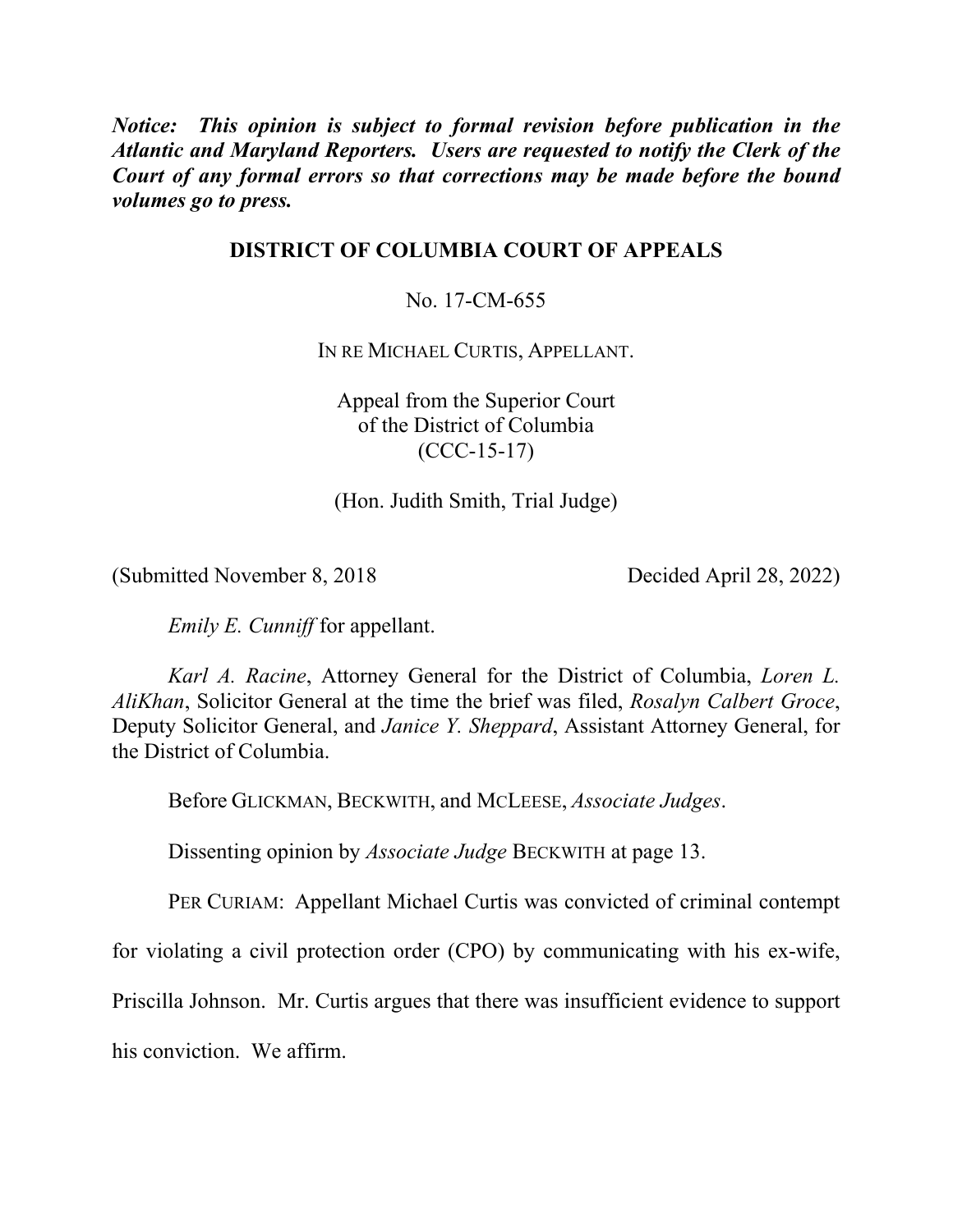*Notice: This opinion is subject to formal revision before publication in the Atlantic and Maryland Reporters. Users are requested to notify the Clerk of the Court of any formal errors so that corrections may be made before the bound volumes go to press.* 

## **DISTRICT OF COLUMBIA COURT OF APPEALS**

No. 17-CM-655

IN RE MICHAEL CURTIS, APPELLANT.

Appeal from the Superior Court of the District of Columbia (CCC-15-17)

(Hon. Judith Smith, Trial Judge)

(Submitted November 8, 2018 Decided April 28, 2022)

*Emily E. Cunniff* for appellant.

*Karl A. Racine*, Attorney General for the District of Columbia, *Loren L. AliKhan*, Solicitor General at the time the brief was filed, *Rosalyn Calbert Groce*, Deputy Solicitor General, and *Janice Y. Sheppard*, Assistant Attorney General, for the District of Columbia.

Before GLICKMAN, BECKWITH, and MCLEESE, *Associate Judges*.

Dissenting opinion by *Associate Judge* BECKWITH at page 13.

PER CURIAM: Appellant Michael Curtis was convicted of criminal contempt

for violating a civil protection order (CPO) by communicating with his ex-wife,

Priscilla Johnson. Mr. Curtis argues that there was insufficient evidence to support

his conviction. We affirm.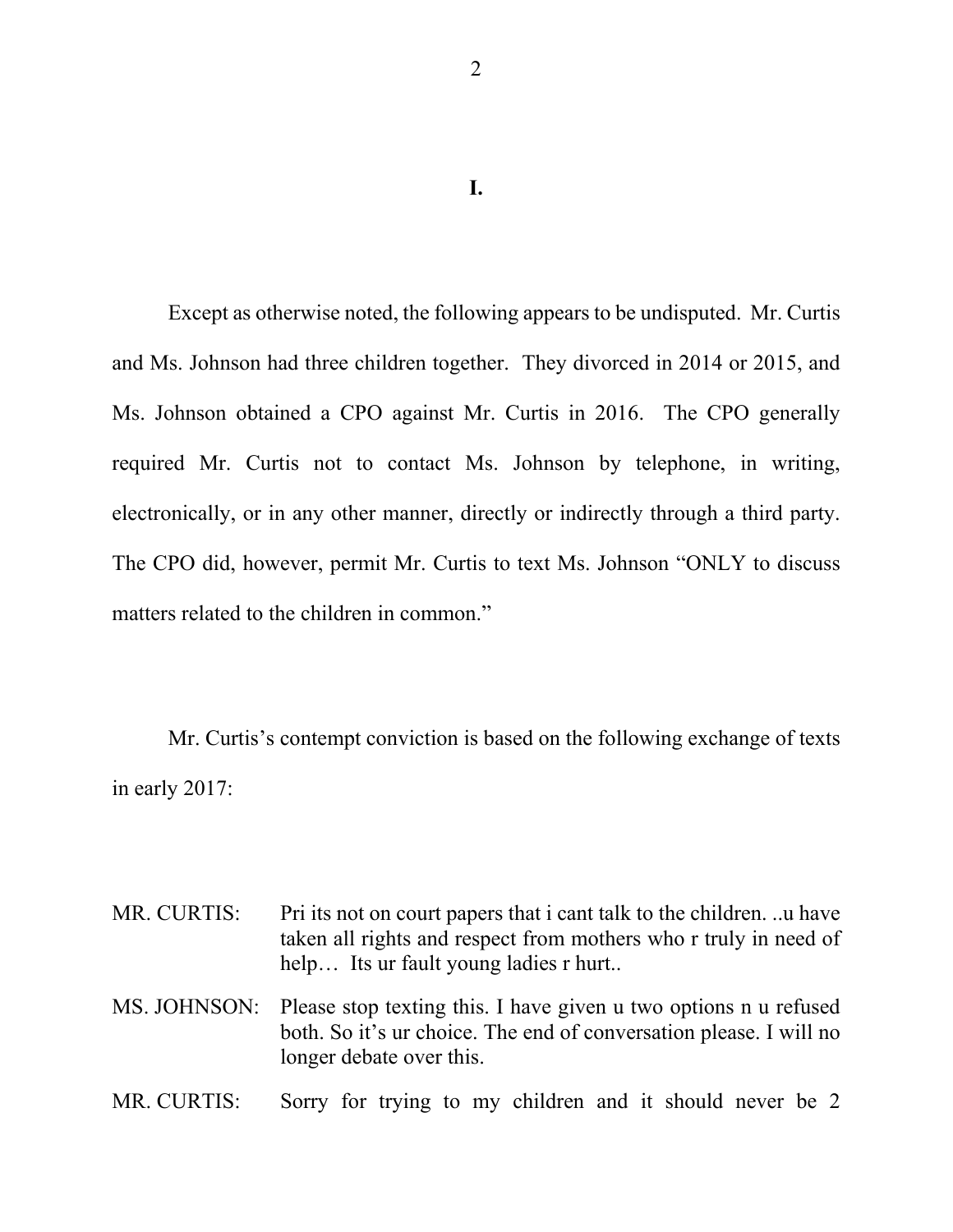**I.**

Except as otherwise noted, the following appears to be undisputed. Mr. Curtis and Ms. Johnson had three children together. They divorced in 2014 or 2015, and Ms. Johnson obtained a CPO against Mr. Curtis in 2016. The CPO generally required Mr. Curtis not to contact Ms. Johnson by telephone, in writing, electronically, or in any other manner, directly or indirectly through a third party. The CPO did, however, permit Mr. Curtis to text Ms. Johnson "ONLY to discuss matters related to the children in common."

Mr. Curtis's contempt conviction is based on the following exchange of texts in early 2017:

| MR. CURTIS: | Pri its not on court papers that i cant talk to the children. u have<br>taken all rights and respect from mothers who r truly in need of<br>help Its ur fault young ladies r hurt |
|-------------|-----------------------------------------------------------------------------------------------------------------------------------------------------------------------------------|
|             | MS. JOHNSON: Please stop texting this. I have given u two options n u refused<br>both. So it's ur choice. The end of conversation please. I will no<br>longer debate over this.   |
| MR. CURTIS: | Sorry for trying to my children and it should never be 2                                                                                                                          |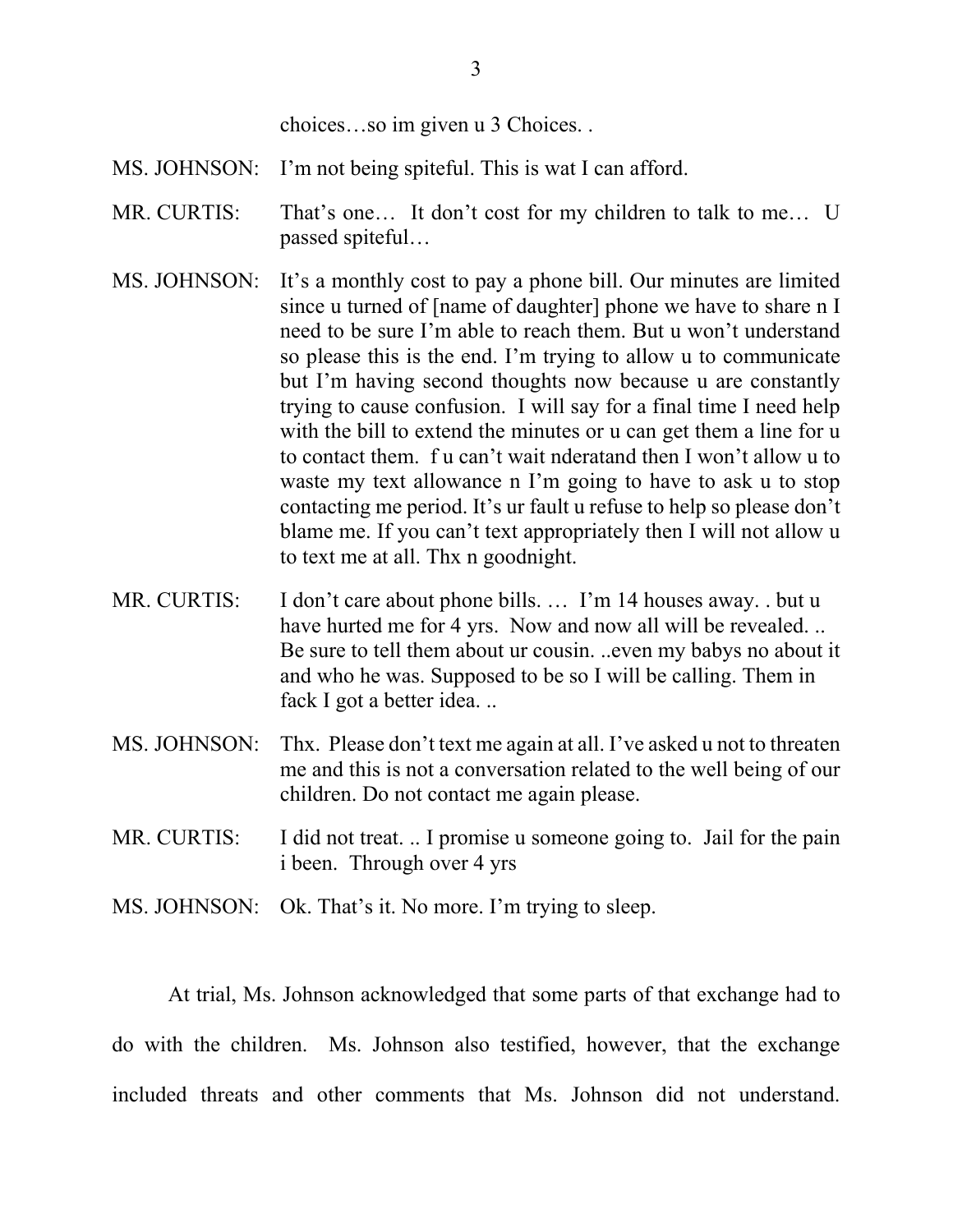choices…so im given u 3 Choices. .

- MS. JOHNSON: I'm not being spiteful. This is wat I can afford.
- MR. CURTIS: That's one... It don't cost for my children to talk to me... U passed spiteful…
- MS. JOHNSON: It's a monthly cost to pay a phone bill. Our minutes are limited since u turned of [name of daughter] phone we have to share n I need to be sure I'm able to reach them. But u won't understand so please this is the end. I'm trying to allow u to communicate but I'm having second thoughts now because u are constantly trying to cause confusion. I will say for a final time I need help with the bill to extend the minutes or u can get them a line for u to contact them. f u can't wait nderatand then I won't allow u to waste my text allowance n I'm going to have to ask u to stop contacting me period. It's ur fault u refuse to help so please don't blame me. If you can't text appropriately then I will not allow u to text me at all. Thx n goodnight.
- MR. CURTIS: I don't care about phone bills. ... I'm 14 houses away. . but u have hurted me for 4 yrs. Now and now all will be revealed... Be sure to tell them about ur cousin. ..even my babys no about it and who he was. Supposed to be so I will be calling. Them in fack I got a better idea. ..
- MS. JOHNSON: Thx. Please don't text me again at all. I've asked u not to threaten me and this is not a conversation related to the well being of our children. Do not contact me again please.
- MR. CURTIS: I did not treat. .. I promise u someone going to. Jail for the pain i been. Through over 4 yrs
- MS. JOHNSON: Ok. That's it. No more. I'm trying to sleep.

At trial, Ms. Johnson acknowledged that some parts of that exchange had to do with the children. Ms. Johnson also testified, however, that the exchange included threats and other comments that Ms. Johnson did not understand.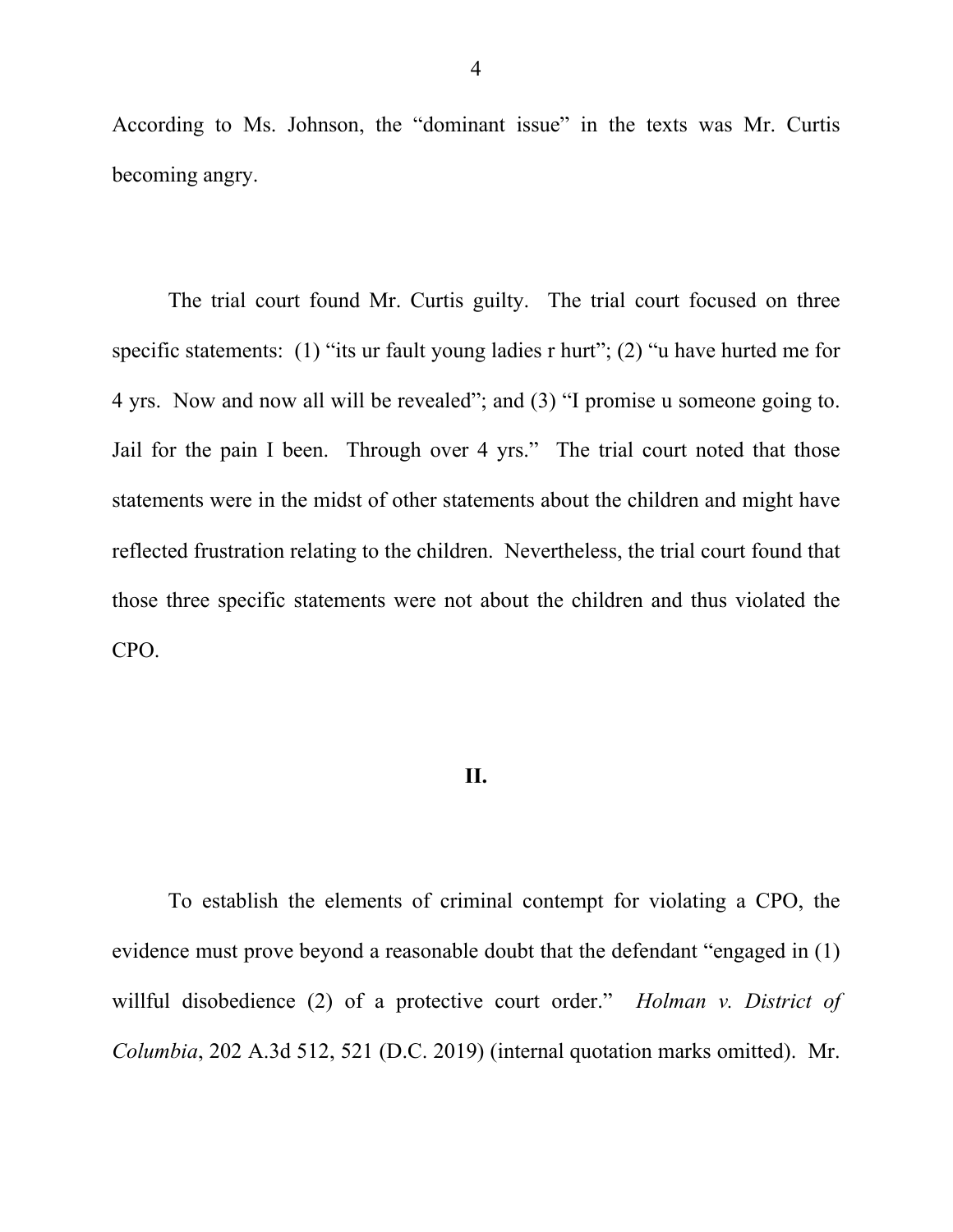According to Ms. Johnson, the "dominant issue" in the texts was Mr. Curtis becoming angry.

The trial court found Mr. Curtis guilty. The trial court focused on three specific statements: (1) "its ur fault young ladies r hurt"; (2) "u have hurted me for 4 yrs. Now and now all will be revealed"; and (3) "I promise u someone going to. Jail for the pain I been. Through over 4 yrs." The trial court noted that those statements were in the midst of other statements about the children and might have reflected frustration relating to the children. Nevertheless, the trial court found that those three specific statements were not about the children and thus violated the CPO.

## **II.**

To establish the elements of criminal contempt for violating a CPO, the evidence must prove beyond a reasonable doubt that the defendant "engaged in (1) willful disobedience (2) of a protective court order." *Holman v. District of Columbia*, 202 A.3d 512, 521 (D.C. 2019) (internal quotation marks omitted). Mr.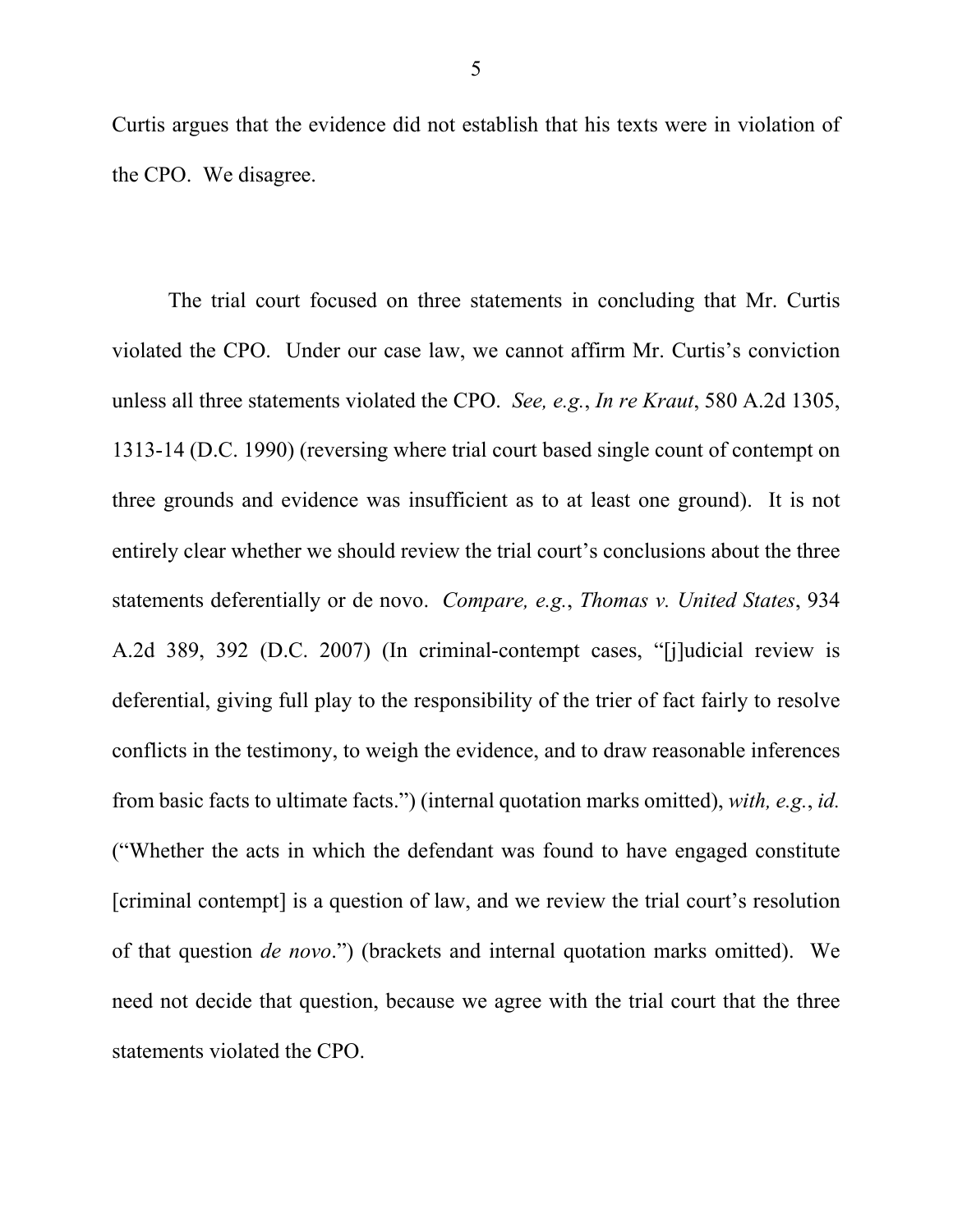Curtis argues that the evidence did not establish that his texts were in violation of the CPO. We disagree.

The trial court focused on three statements in concluding that Mr. Curtis violated the CPO. Under our case law, we cannot affirm Mr. Curtis's conviction unless all three statements violated the CPO. *See, e.g.*, *In re Kraut*, 580 A.2d 1305, 1313-14 (D.C. 1990) (reversing where trial court based single count of contempt on three grounds and evidence was insufficient as to at least one ground). It is not entirely clear whether we should review the trial court's conclusions about the three statements deferentially or de novo. *Compare, e.g.*, *Thomas v. United States*, 934 A.2d 389, 392 (D.C. 2007) (In criminal-contempt cases, "[j]udicial review is deferential, giving full play to the responsibility of the trier of fact fairly to resolve conflicts in the testimony, to weigh the evidence, and to draw reasonable inferences from basic facts to ultimate facts.") (internal quotation marks omitted), *with, e.g.*, *id.* ("Whether the acts in which the defendant was found to have engaged constitute [criminal contempt] is a question of law, and we review the trial court's resolution of that question *de novo*.") (brackets and internal quotation marks omitted). We need not decide that question, because we agree with the trial court that the three statements violated the CPO.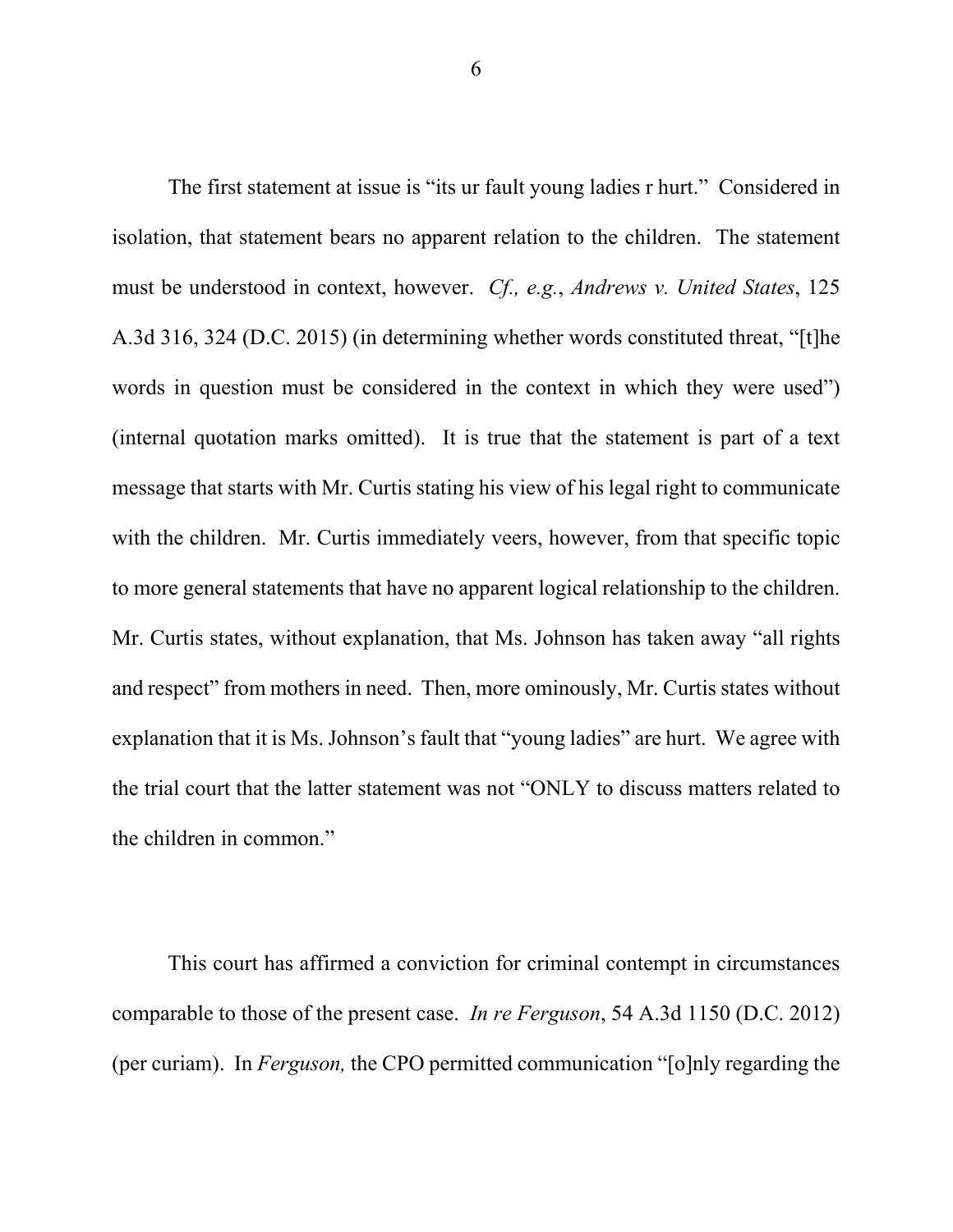The first statement at issue is "its ur fault young ladies r hurt." Considered in isolation, that statement bears no apparent relation to the children. The statement must be understood in context, however. *Cf., e.g.*, *Andrews v. United States*, 125 A.3d 316, 324 (D.C. 2015) (in determining whether words constituted threat, "[t]he words in question must be considered in the context in which they were used") (internal quotation marks omitted). It is true that the statement is part of a text message that starts with Mr. Curtis stating his view of his legal right to communicate with the children. Mr. Curtis immediately veers, however, from that specific topic to more general statements that have no apparent logical relationship to the children. Mr. Curtis states, without explanation, that Ms. Johnson has taken away "all rights and respect" from mothers in need. Then, more ominously, Mr. Curtis states without explanation that it is Ms. Johnson's fault that "young ladies" are hurt. We agree with the trial court that the latter statement was not "ONLY to discuss matters related to the children in common."

This court has affirmed a conviction for criminal contempt in circumstances comparable to those of the present case. *In re Ferguson*, 54 A.3d 1150 (D.C. 2012) (per curiam). In *Ferguson,* the CPO permitted communication "[o]nly regarding the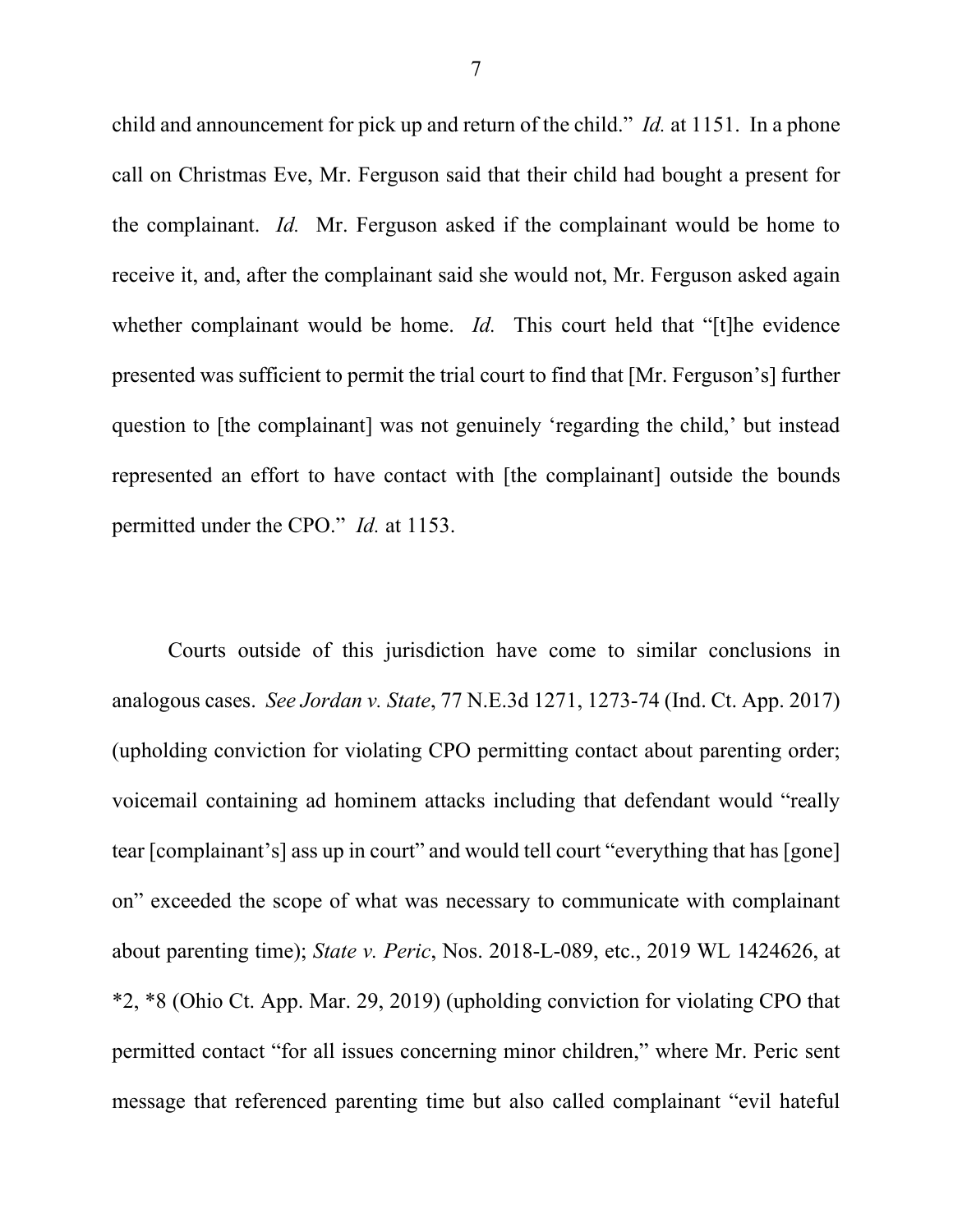child and announcement for pick up and return of the child." *Id.* at 1151. In a phone call on Christmas Eve, Mr. Ferguson said that their child had bought a present for the complainant. *Id.* Mr. Ferguson asked if the complainant would be home to receive it, and, after the complainant said she would not, Mr. Ferguson asked again whether complainant would be home. *Id.* This court held that "[t]he evidence presented was sufficient to permit the trial court to find that [Mr. Ferguson's] further question to [the complainant] was not genuinely 'regarding the child,' but instead represented an effort to have contact with [the complainant] outside the bounds permitted under the CPO." *Id.* at 1153.

Courts outside of this jurisdiction have come to similar conclusions in analogous cases. *See Jordan v. State*, 77 N.E.3d 1271, 1273-74 (Ind. Ct. App. 2017) (upholding conviction for violating CPO permitting contact about parenting order; voicemail containing ad hominem attacks including that defendant would "really tear [complainant's] ass up in court" and would tell court "everything that has [gone] on" exceeded the scope of what was necessary to communicate with complainant about parenting time); *State v. Peric*, Nos. 2018-L-089, etc., 2019 WL 1424626, at \*2, \*8 (Ohio Ct. App. Mar. 29, 2019) (upholding conviction for violating CPO that permitted contact "for all issues concerning minor children," where Mr. Peric sent message that referenced parenting time but also called complainant "evil hateful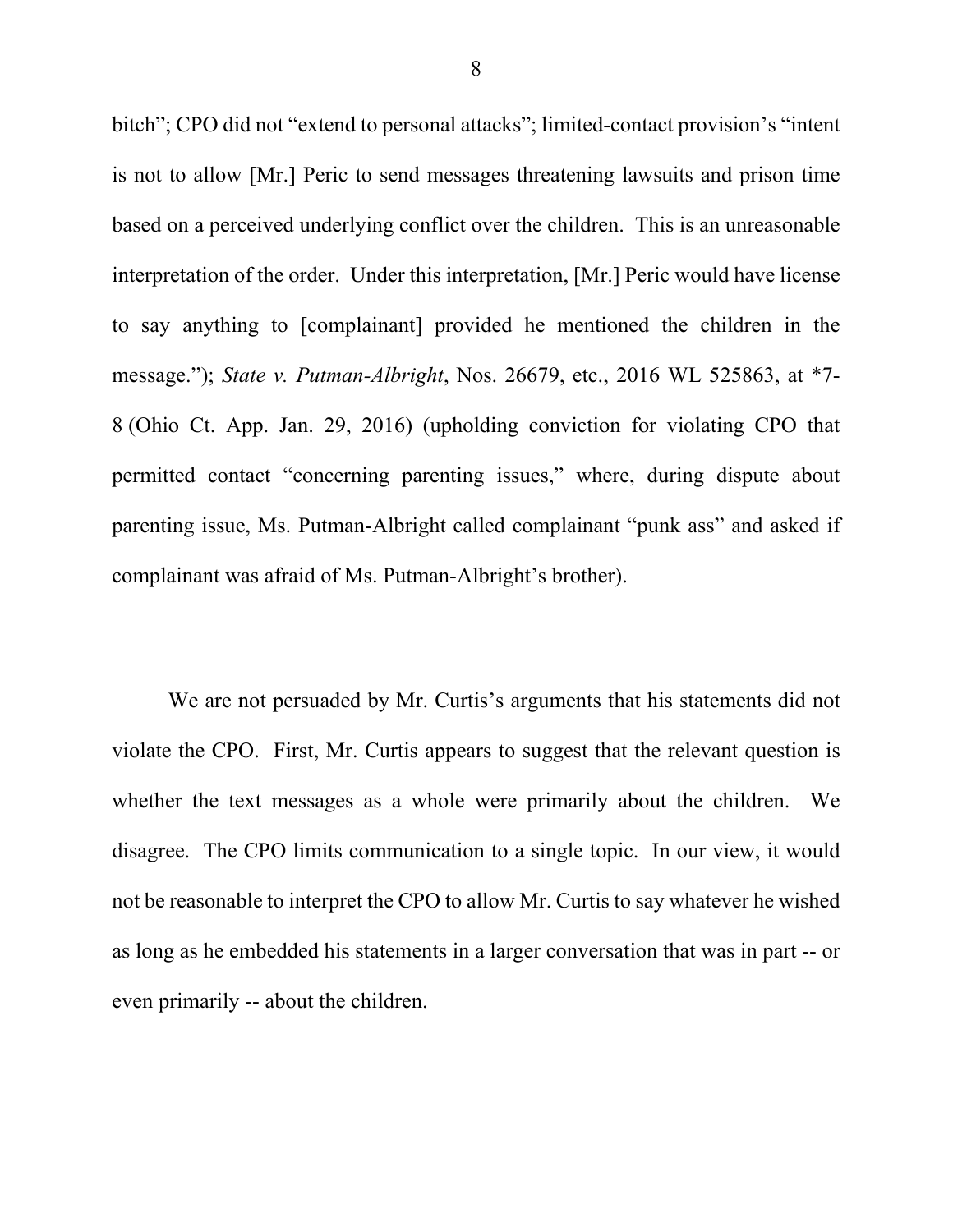bitch"; CPO did not "extend to personal attacks"; limited-contact provision's "intent is not to allow [Mr.] Peric to send messages threatening lawsuits and prison time based on a perceived underlying conflict over the children. This is an unreasonable interpretation of the order. Under this interpretation, [Mr.] Peric would have license to say anything to [complainant] provided he mentioned the children in the message."); *State v. Putman-Albright*, Nos. 26679, etc., 2016 WL 525863, at \*7- 8 (Ohio Ct. App. Jan. 29, 2016) (upholding conviction for violating CPO that permitted contact "concerning parenting issues," where, during dispute about parenting issue, Ms. Putman-Albright called complainant "punk ass" and asked if complainant was afraid of Ms. Putman-Albright's brother).

We are not persuaded by Mr. Curtis's arguments that his statements did not violate the CPO. First, Mr. Curtis appears to suggest that the relevant question is whether the text messages as a whole were primarily about the children. We disagree. The CPO limits communication to a single topic. In our view, it would not be reasonable to interpret the CPO to allow Mr. Curtis to say whatever he wished as long as he embedded his statements in a larger conversation that was in part -- or even primarily -- about the children.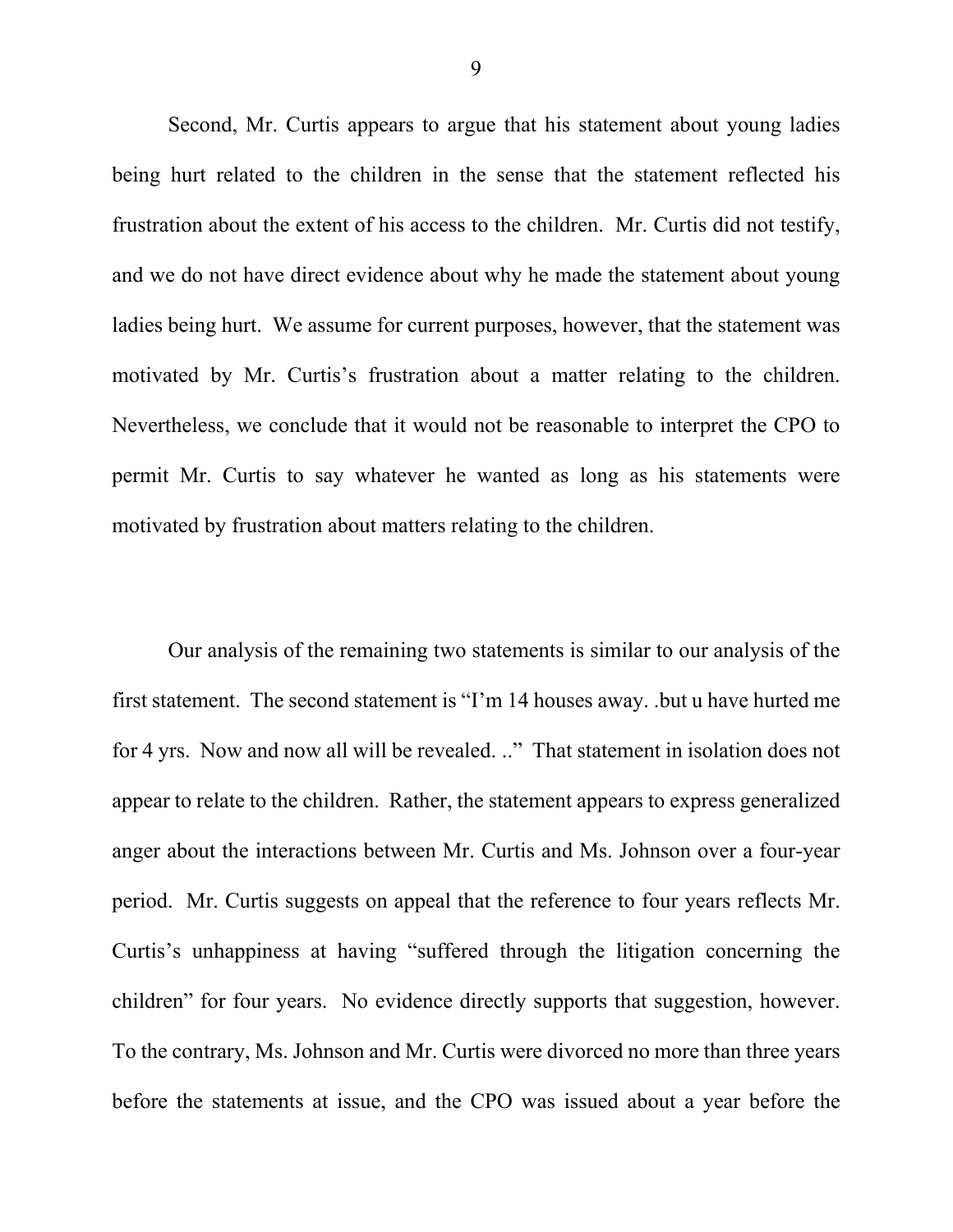Second, Mr. Curtis appears to argue that his statement about young ladies being hurt related to the children in the sense that the statement reflected his frustration about the extent of his access to the children. Mr. Curtis did not testify, and we do not have direct evidence about why he made the statement about young ladies being hurt. We assume for current purposes, however, that the statement was motivated by Mr. Curtis's frustration about a matter relating to the children. Nevertheless, we conclude that it would not be reasonable to interpret the CPO to permit Mr. Curtis to say whatever he wanted as long as his statements were motivated by frustration about matters relating to the children.

Our analysis of the remaining two statements is similar to our analysis of the first statement. The second statement is "I'm 14 houses away. .but u have hurted me for 4 yrs. Now and now all will be revealed. .." That statement in isolation does not appear to relate to the children. Rather, the statement appears to express generalized anger about the interactions between Mr. Curtis and Ms. Johnson over a four-year period. Mr. Curtis suggests on appeal that the reference to four years reflects Mr. Curtis's unhappiness at having "suffered through the litigation concerning the children" for four years. No evidence directly supports that suggestion, however. To the contrary, Ms. Johnson and Mr. Curtis were divorced no more than three years before the statements at issue, and the CPO was issued about a year before the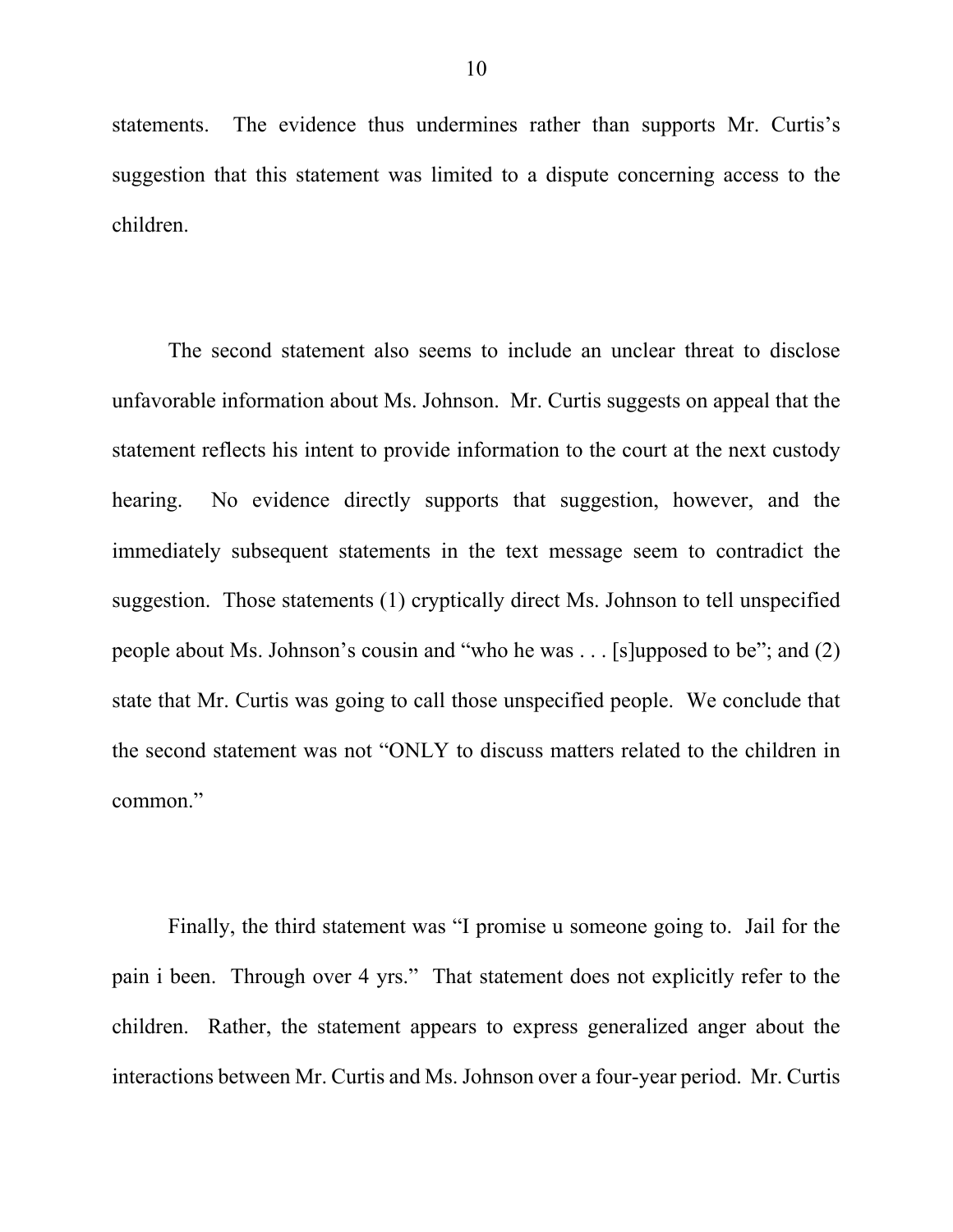statements. The evidence thus undermines rather than supports Mr. Curtis's suggestion that this statement was limited to a dispute concerning access to the children.

The second statement also seems to include an unclear threat to disclose unfavorable information about Ms. Johnson. Mr. Curtis suggests on appeal that the statement reflects his intent to provide information to the court at the next custody hearing. No evidence directly supports that suggestion, however, and the immediately subsequent statements in the text message seem to contradict the suggestion. Those statements (1) cryptically direct Ms. Johnson to tell unspecified people about Ms. Johnson's cousin and "who he was . . . [s]upposed to be"; and (2) state that Mr. Curtis was going to call those unspecified people. We conclude that the second statement was not "ONLY to discuss matters related to the children in common."

Finally, the third statement was "I promise u someone going to. Jail for the pain i been. Through over 4 yrs." That statement does not explicitly refer to the children. Rather, the statement appears to express generalized anger about the interactions between Mr. Curtis and Ms. Johnson over a four-year period. Mr. Curtis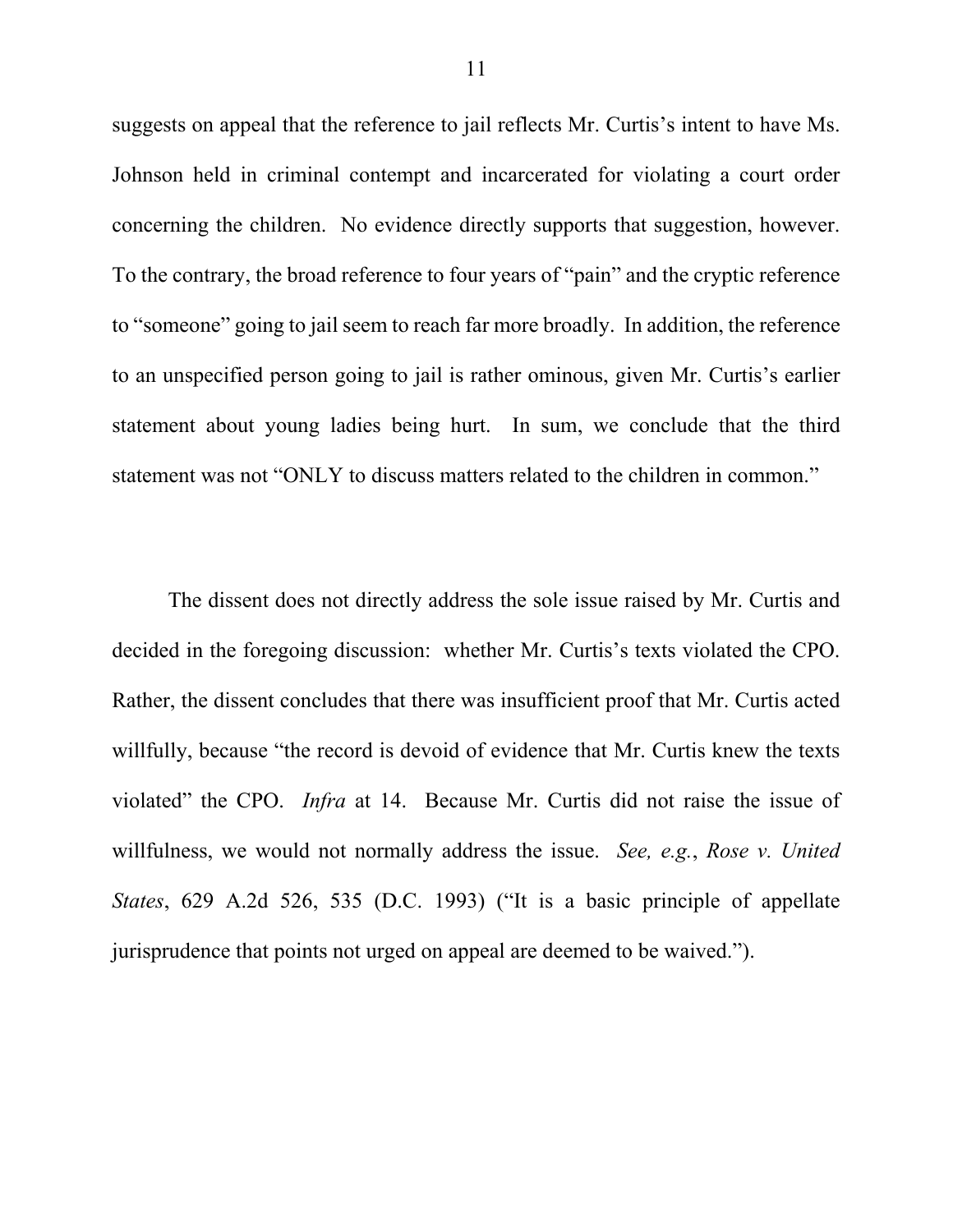suggests on appeal that the reference to jail reflects Mr. Curtis's intent to have Ms. Johnson held in criminal contempt and incarcerated for violating a court order concerning the children. No evidence directly supports that suggestion, however. To the contrary, the broad reference to four years of "pain" and the cryptic reference to "someone" going to jail seem to reach far more broadly. In addition, the reference to an unspecified person going to jail is rather ominous, given Mr. Curtis's earlier statement about young ladies being hurt. In sum, we conclude that the third statement was not "ONLY to discuss matters related to the children in common."

The dissent does not directly address the sole issue raised by Mr. Curtis and decided in the foregoing discussion: whether Mr. Curtis's texts violated the CPO. Rather, the dissent concludes that there was insufficient proof that Mr. Curtis acted willfully, because "the record is devoid of evidence that Mr. Curtis knew the texts violated" the CPO. *Infra* at 14. Because Mr. Curtis did not raise the issue of willfulness, we would not normally address the issue. *See, e.g.*, *Rose v. United States*, 629 A.2d 526, 535 (D.C. 1993) ("It is a basic principle of appellate jurisprudence that points not urged on appeal are deemed to be waived.").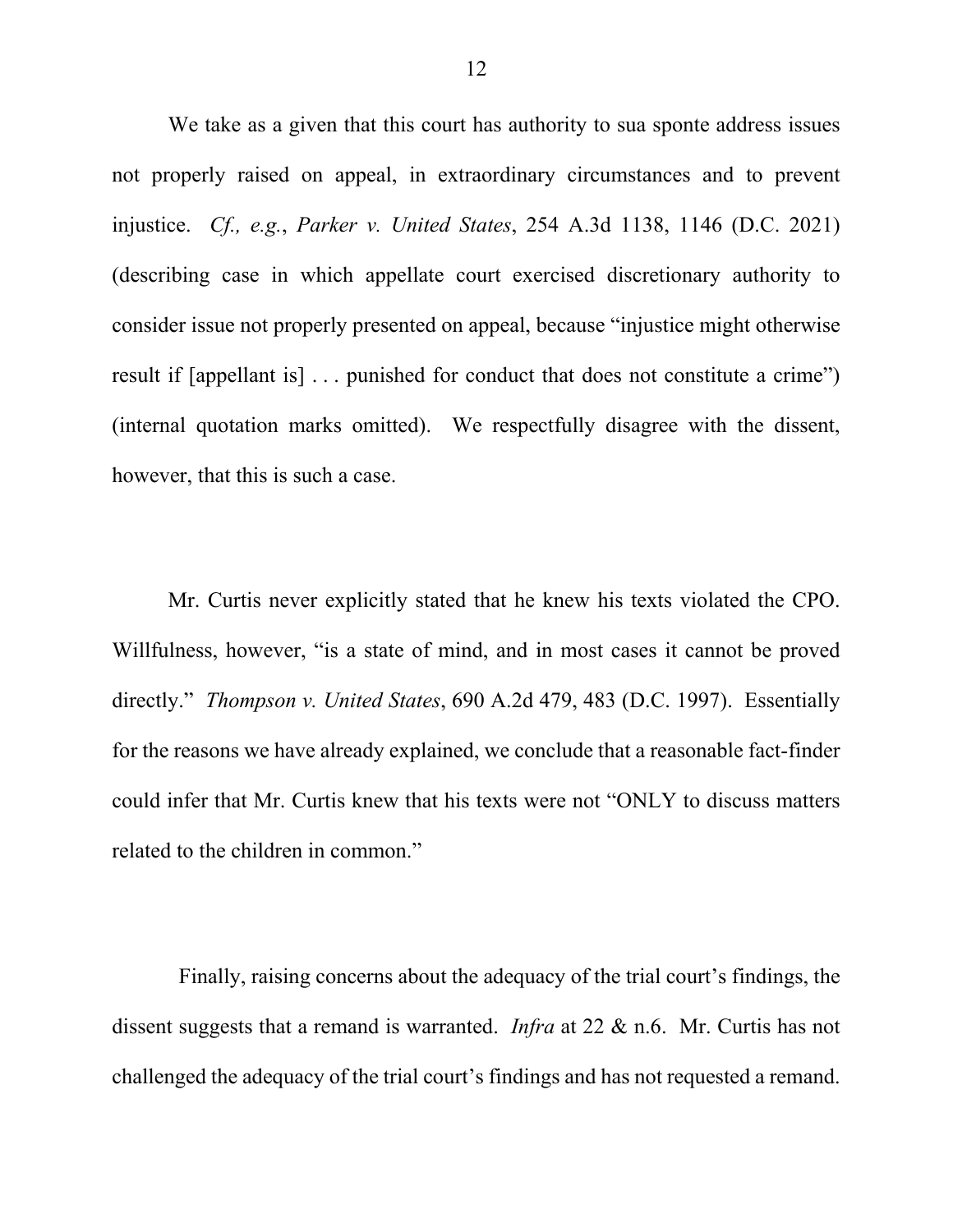We take as a given that this court has authority to sua sponte address issues not properly raised on appeal, in extraordinary circumstances and to prevent injustice. *Cf., e.g.*, *Parker v. United States*, 254 A.3d 1138, 1146 (D.C. 2021) (describing case in which appellate court exercised discretionary authority to consider issue not properly presented on appeal, because "injustice might otherwise result if [appellant is] . . . punished for conduct that does not constitute a crime") (internal quotation marks omitted). We respectfully disagree with the dissent, however, that this is such a case.

Mr. Curtis never explicitly stated that he knew his texts violated the CPO. Willfulness, however, "is a state of mind, and in most cases it cannot be proved directly." *Thompson v. United States*, 690 A.2d 479, 483 (D.C. 1997). Essentially for the reasons we have already explained, we conclude that a reasonable fact-finder could infer that Mr. Curtis knew that his texts were not "ONLY to discuss matters related to the children in common."

 Finally, raising concerns about the adequacy of the trial court's findings, the dissent suggests that a remand is warranted. *Infra* at 22 & n.6. Mr. Curtis has not challenged the adequacy of the trial court's findings and has not requested a remand.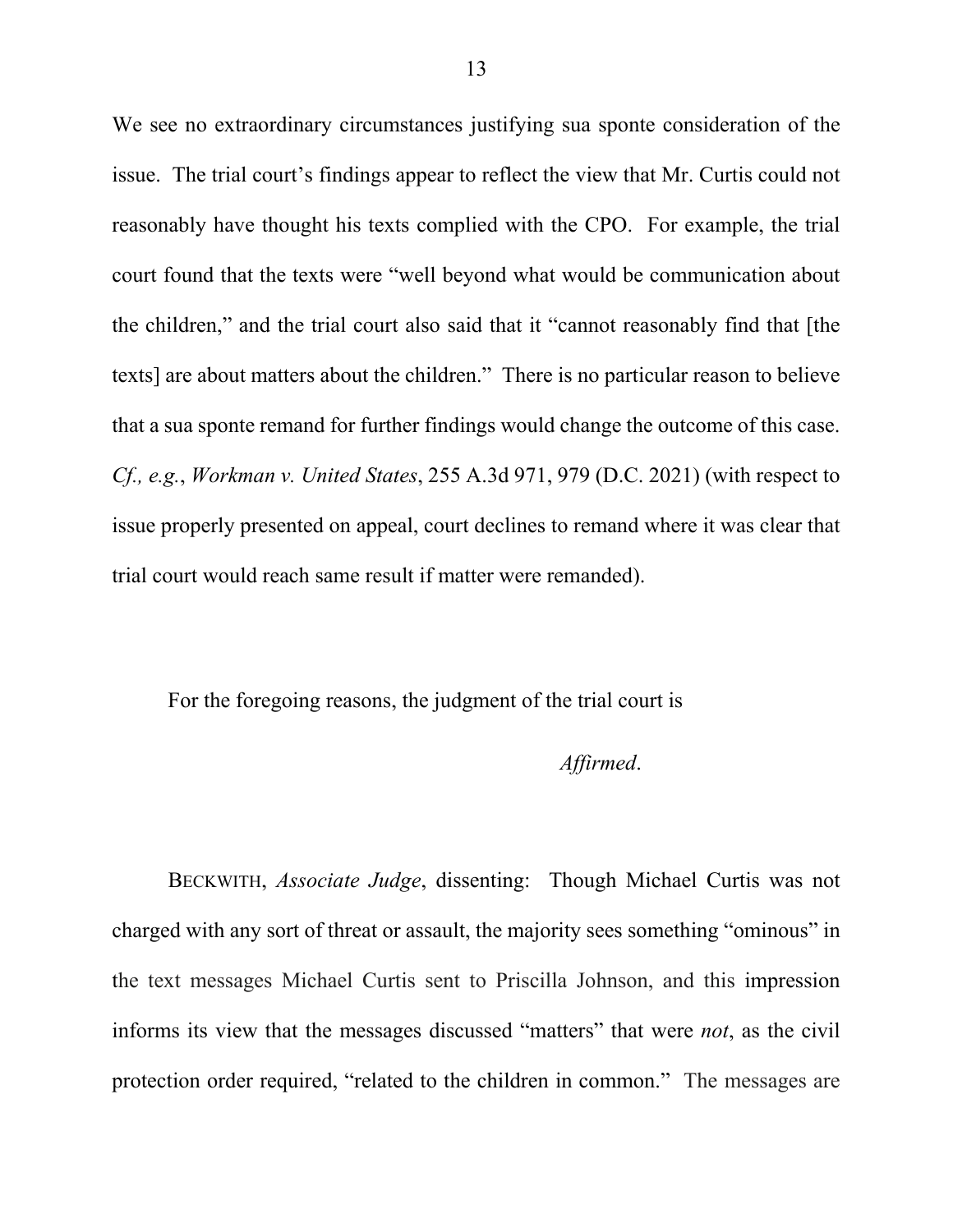We see no extraordinary circumstances justifying sua sponte consideration of the issue. The trial court's findings appear to reflect the view that Mr. Curtis could not reasonably have thought his texts complied with the CPO. For example, the trial court found that the texts were "well beyond what would be communication about the children," and the trial court also said that it "cannot reasonably find that [the texts] are about matters about the children." There is no particular reason to believe that a sua sponte remand for further findings would change the outcome of this case. *Cf., e.g.*, *Workman v. United States*, 255 A.3d 971, 979 (D.C. 2021) (with respect to issue properly presented on appeal, court declines to remand where it was clear that trial court would reach same result if matter were remanded).

For the foregoing reasons, the judgment of the trial court is

## *Affirmed*.

BECKWITH, *Associate Judge*, dissenting: Though Michael Curtis was not charged with any sort of threat or assault, the majority sees something "ominous" in the text messages Michael Curtis sent to Priscilla Johnson, and this impression informs its view that the messages discussed "matters" that were *not*, as the civil protection order required, "related to the children in common." The messages are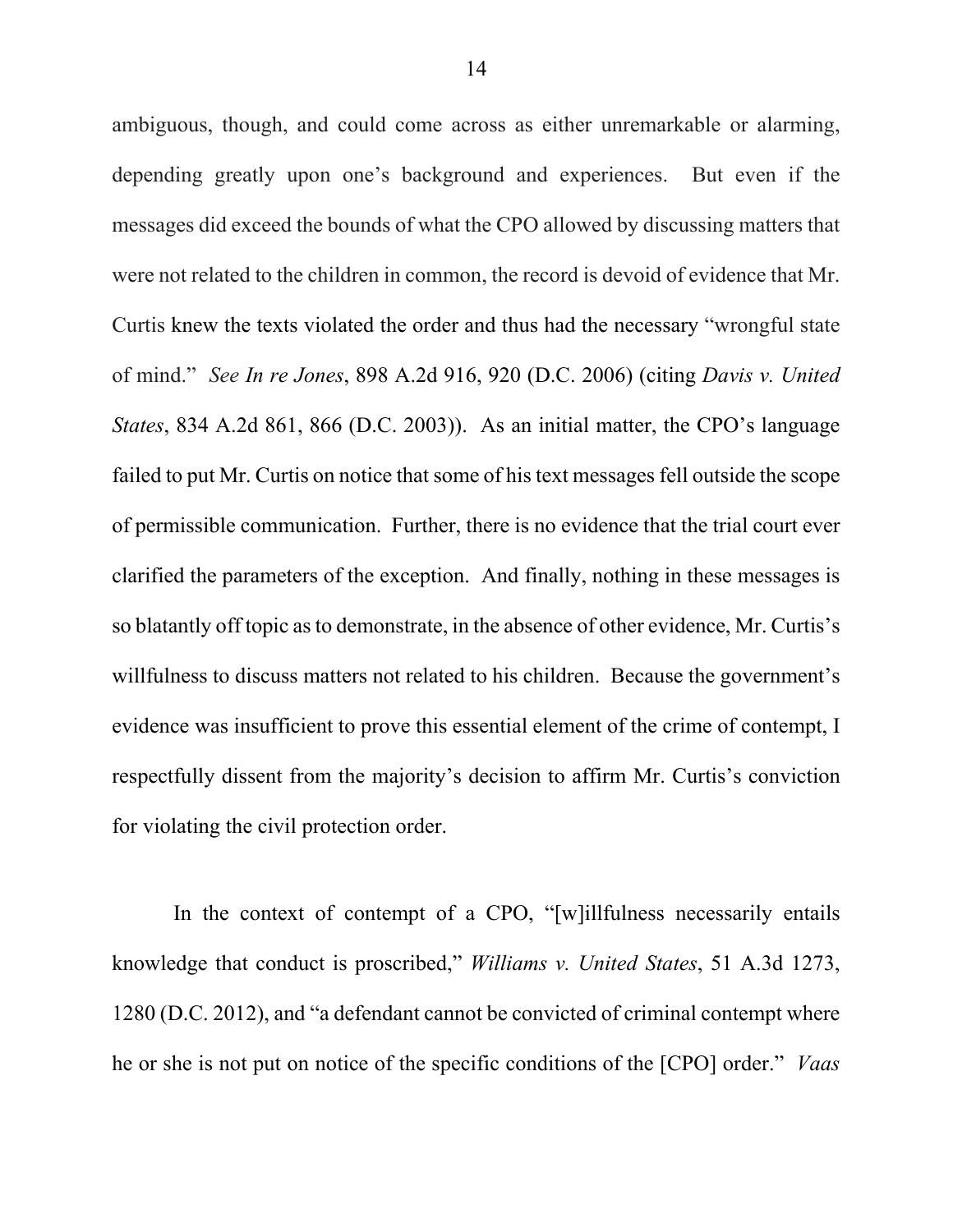ambiguous, though, and could come across as either unremarkable or alarming, depending greatly upon one's background and experiences. But even if the messages did exceed the bounds of what the CPO allowed by discussing matters that were not related to the children in common, the record is devoid of evidence that Mr. Curtis knew the texts violated the order and thus had the necessary "wrongful state of mind." *See In re Jones*, 898 A.2d 916, 920 (D.C. 2006) (citing *Davis v. United States*, 834 A.2d 861, 866 (D.C. 2003)). As an initial matter, the CPO's language failed to put Mr. Curtis on notice that some of his text messages fell outside the scope of permissible communication. Further, there is no evidence that the trial court ever clarified the parameters of the exception. And finally, nothing in these messages is so blatantly off topic as to demonstrate, in the absence of other evidence, Mr. Curtis's willfulness to discuss matters not related to his children. Because the government's evidence was insufficient to prove this essential element of the crime of contempt, I respectfully dissent from the majority's decision to affirm Mr. Curtis's conviction for violating the civil protection order.

In the context of contempt of a CPO, "[w]illfulness necessarily entails knowledge that conduct is proscribed," *Williams v. United States*, 51 A.3d 1273, 1280 (D.C. 2012), and "a defendant cannot be convicted of criminal contempt where he or she is not put on notice of the specific conditions of the [CPO] order." *Vaas*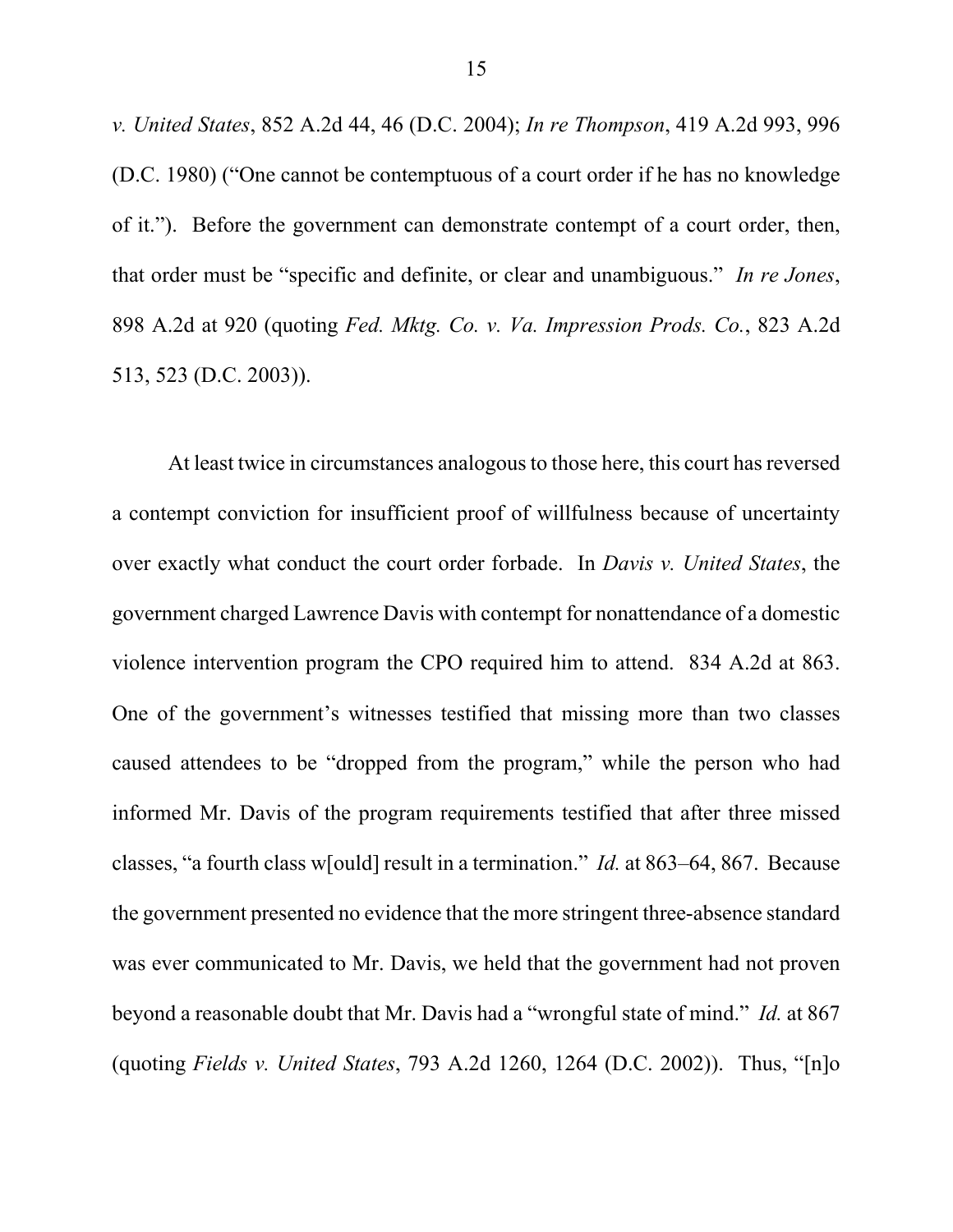*v. United States*, 852 A.2d 44, 46 (D.C. 2004); *In re Thompson*, 419 A.2d 993, 996 (D.C. 1980) ("One cannot be contemptuous of a court order if he has no knowledge of it."). Before the government can demonstrate contempt of a court order, then, that order must be "specific and definite, or clear and unambiguous." *In re Jones*, 898 A.2d at 920 (quoting *Fed. Mktg. Co. v. Va. Impression Prods. Co.*, 823 A.2d 513, 523 (D.C. 2003)).

At least twice in circumstances analogous to those here, this court has reversed a contempt conviction for insufficient proof of willfulness because of uncertainty over exactly what conduct the court order forbade. In *Davis v. United States*, the government charged Lawrence Davis with contempt for nonattendance of a domestic violence intervention program the CPO required him to attend. 834 A.2d at 863. One of the government's witnesses testified that missing more than two classes caused attendees to be "dropped from the program," while the person who had informed Mr. Davis of the program requirements testified that after three missed classes, "a fourth class w[ould] result in a termination." *Id.* at 863–64, 867. Because the government presented no evidence that the more stringent three-absence standard was ever communicated to Mr. Davis, we held that the government had not proven beyond a reasonable doubt that Mr. Davis had a "wrongful state of mind." *Id.* at 867 (quoting *Fields v. United States*, 793 A.2d 1260, 1264 (D.C. 2002)). Thus, "[n]o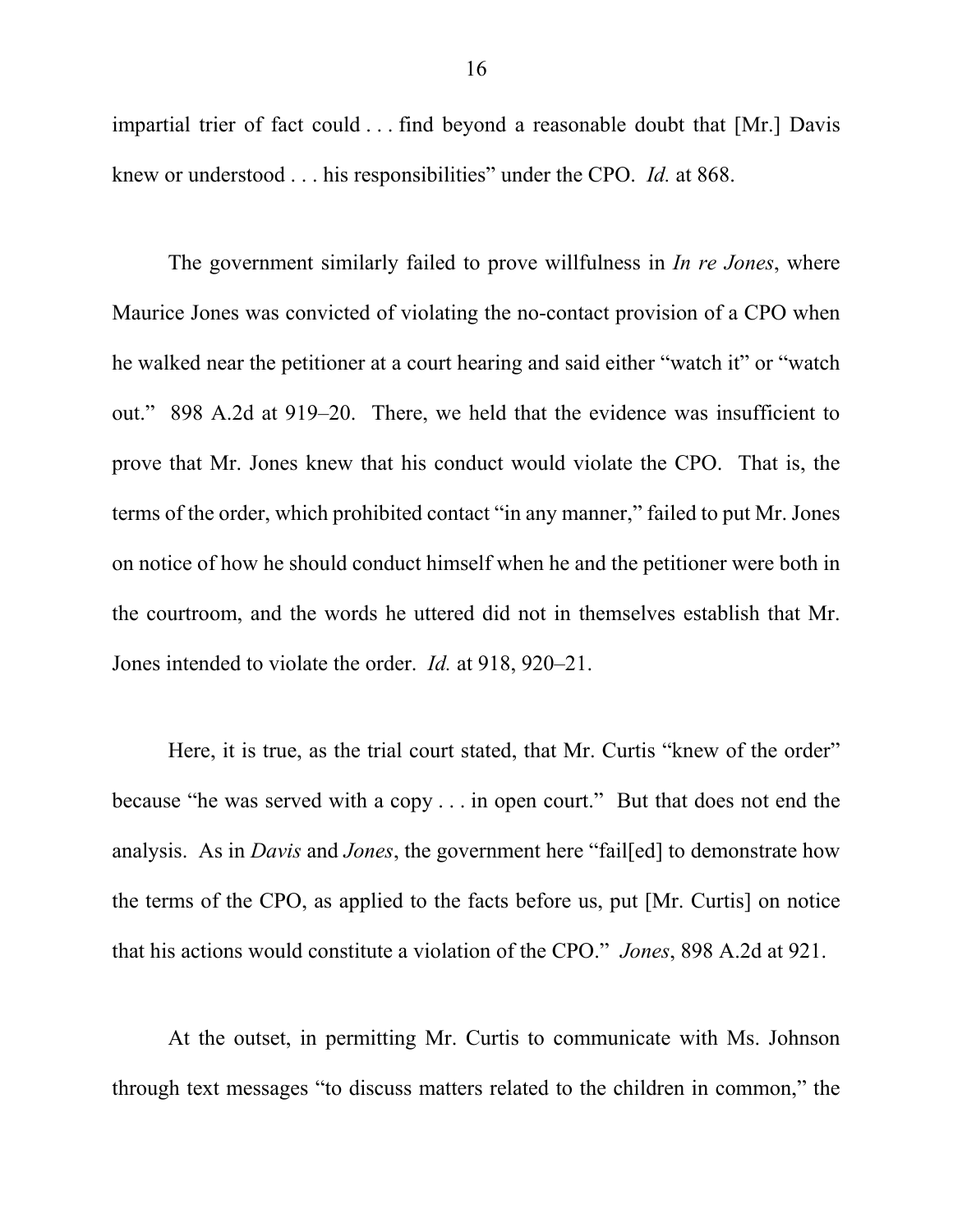impartial trier of fact could . . . find beyond a reasonable doubt that [Mr.] Davis knew or understood . . . his responsibilities" under the CPO. *Id.* at 868.

The government similarly failed to prove willfulness in *In re Jones*, where Maurice Jones was convicted of violating the no-contact provision of a CPO when he walked near the petitioner at a court hearing and said either "watch it" or "watch out." 898 A.2d at 919–20. There, we held that the evidence was insufficient to prove that Mr. Jones knew that his conduct would violate the CPO. That is, the terms of the order, which prohibited contact "in any manner," failed to put Mr. Jones on notice of how he should conduct himself when he and the petitioner were both in the courtroom, and the words he uttered did not in themselves establish that Mr. Jones intended to violate the order. *Id.* at 918, 920–21.

Here, it is true, as the trial court stated, that Mr. Curtis "knew of the order" because "he was served with a copy . . . in open court." But that does not end the analysis. As in *Davis* and *Jones*, the government here "fail[ed] to demonstrate how the terms of the CPO, as applied to the facts before us, put [Mr. Curtis] on notice that his actions would constitute a violation of the CPO." *Jones*, 898 A.2d at 921.

At the outset, in permitting Mr. Curtis to communicate with Ms. Johnson through text messages "to discuss matters related to the children in common," the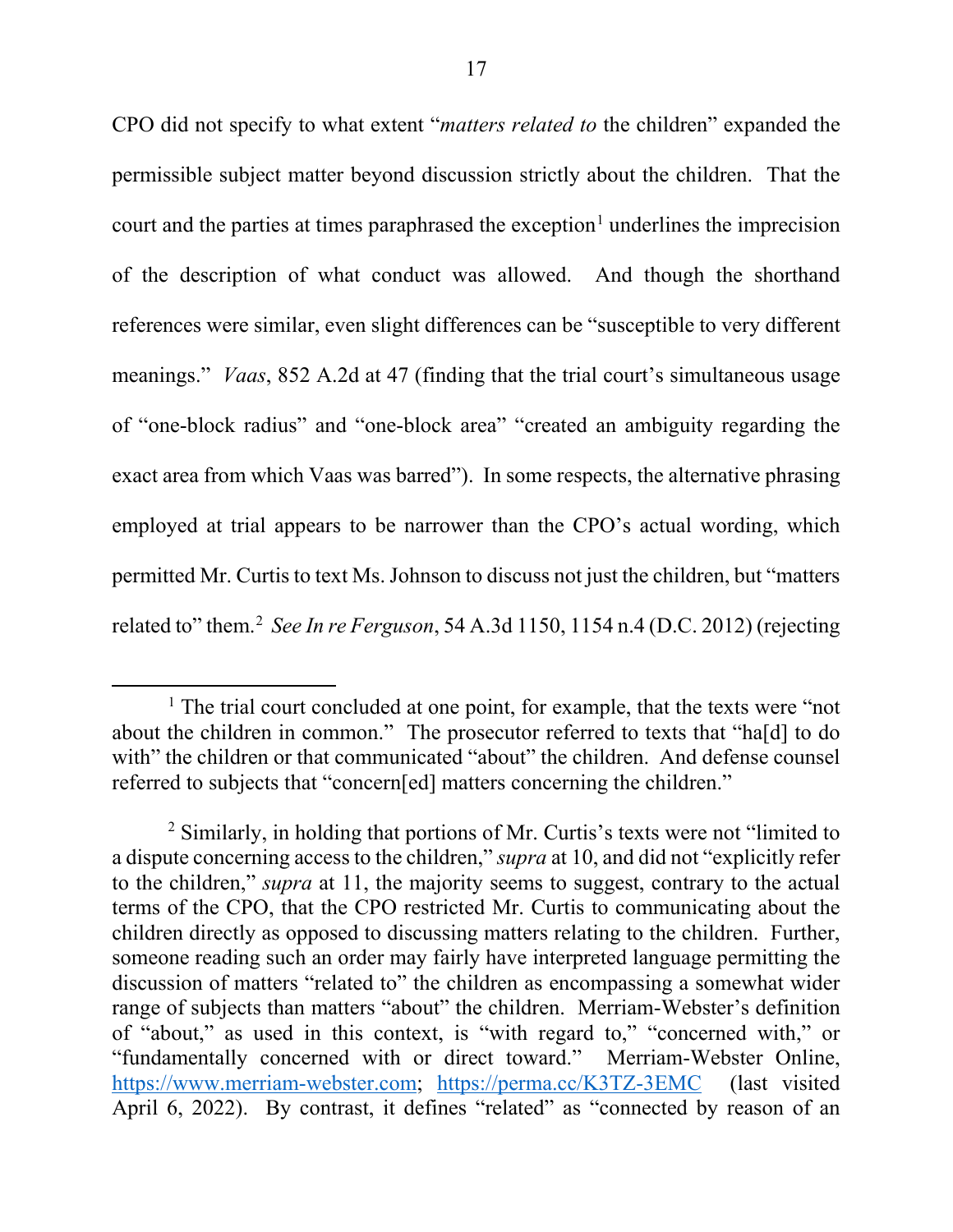CPO did not specify to what extent "*matters related to* the children" expanded the permissible subject matter beyond discussion strictly about the children. That the court and the parties at times paraphrased the exception<sup>1</sup> underlines the imprecision of the description of what conduct was allowed. And though the shorthand references were similar, even slight differences can be "susceptible to very different meanings." *Vaas*, 852 A.2d at 47 (finding that the trial court's simultaneous usage of "one-block radius" and "one-block area" "created an ambiguity regarding the exact area from which Vaas was barred"). In some respects, the alternative phrasing employed at trial appears to be narrower than the CPO's actual wording, which permitted Mr. Curtis to text Ms. Johnson to discuss not just the children, but "matters related to" them.2 *See In re Ferguson*, 54 A.3d 1150, 1154 n.4 (D.C. 2012) (rejecting

<sup>&</sup>lt;sup>1</sup> The trial court concluded at one point, for example, that the texts were "not" about the children in common." The prosecutor referred to texts that "ha[d] to do with" the children or that communicated "about" the children. And defense counsel referred to subjects that "concern[ed] matters concerning the children."

<sup>2</sup> Similarly, in holding that portions of Mr. Curtis's texts were not "limited to a dispute concerning access to the children," *supra* at 10, and did not "explicitly refer to the children," *supra* at 11, the majority seems to suggest, contrary to the actual terms of the CPO, that the CPO restricted Mr. Curtis to communicating about the children directly as opposed to discussing matters relating to the children. Further, someone reading such an order may fairly have interpreted language permitting the discussion of matters "related to" the children as encompassing a somewhat wider range of subjects than matters "about" the children. Merriam-Webster's definition of "about," as used in this context, is "with regard to," "concerned with," or "fundamentally concerned with or direct toward." Merriam-Webster Online, https://www.merriam-webster.com; https://perma.cc/K3TZ-3EMC (last visited April 6, 2022). By contrast, it defines "related" as "connected by reason of an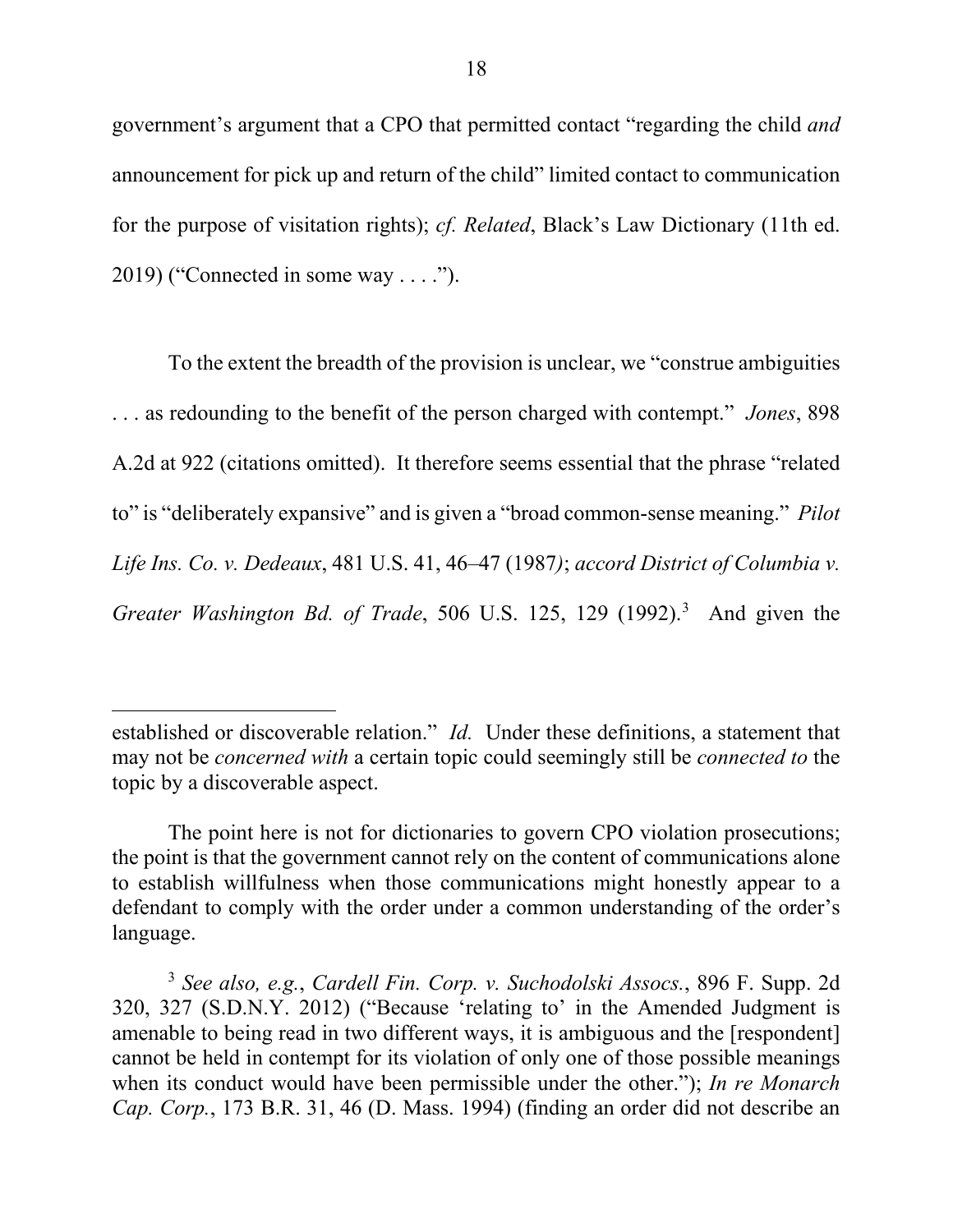government's argument that a CPO that permitted contact "regarding the child *and* announcement for pick up and return of the child" limited contact to communication for the purpose of visitation rights); *cf. Related*, Black's Law Dictionary (11th ed. 2019) ("Connected in some way . . . .").

To the extent the breadth of the provision is unclear, we "construe ambiguities . . . as redounding to the benefit of the person charged with contempt." *Jones*, 898 A.2d at 922 (citations omitted). It therefore seems essential that the phrase "related to" is "deliberately expansive" and is given a "broad common-sense meaning." *Pilot Life Ins. Co. v. Dedeaux*, 481 U.S. 41, 46–47 (1987*)*; *accord District of Columbia v.*  Greater Washington Bd. of Trade, 506 U.S. 125, 129 (1992).<sup>3</sup> And given the

 $\overline{a}$ 

established or discoverable relation." *Id.* Under these definitions, a statement that may not be *concerned with* a certain topic could seemingly still be *connected to* the topic by a discoverable aspect.

The point here is not for dictionaries to govern CPO violation prosecutions; the point is that the government cannot rely on the content of communications alone to establish willfulness when those communications might honestly appear to a defendant to comply with the order under a common understanding of the order's language.

<sup>3</sup> *See also, e.g.*, *Cardell Fin. Corp. v. Suchodolski Assocs.*, 896 F. Supp. 2d 320, 327 (S.D.N.Y. 2012) ("Because 'relating to' in the Amended Judgment is amenable to being read in two different ways, it is ambiguous and the [respondent] cannot be held in contempt for its violation of only one of those possible meanings when its conduct would have been permissible under the other."); *In re Monarch Cap. Corp.*, 173 B.R. 31, 46 (D. Mass. 1994) (finding an order did not describe an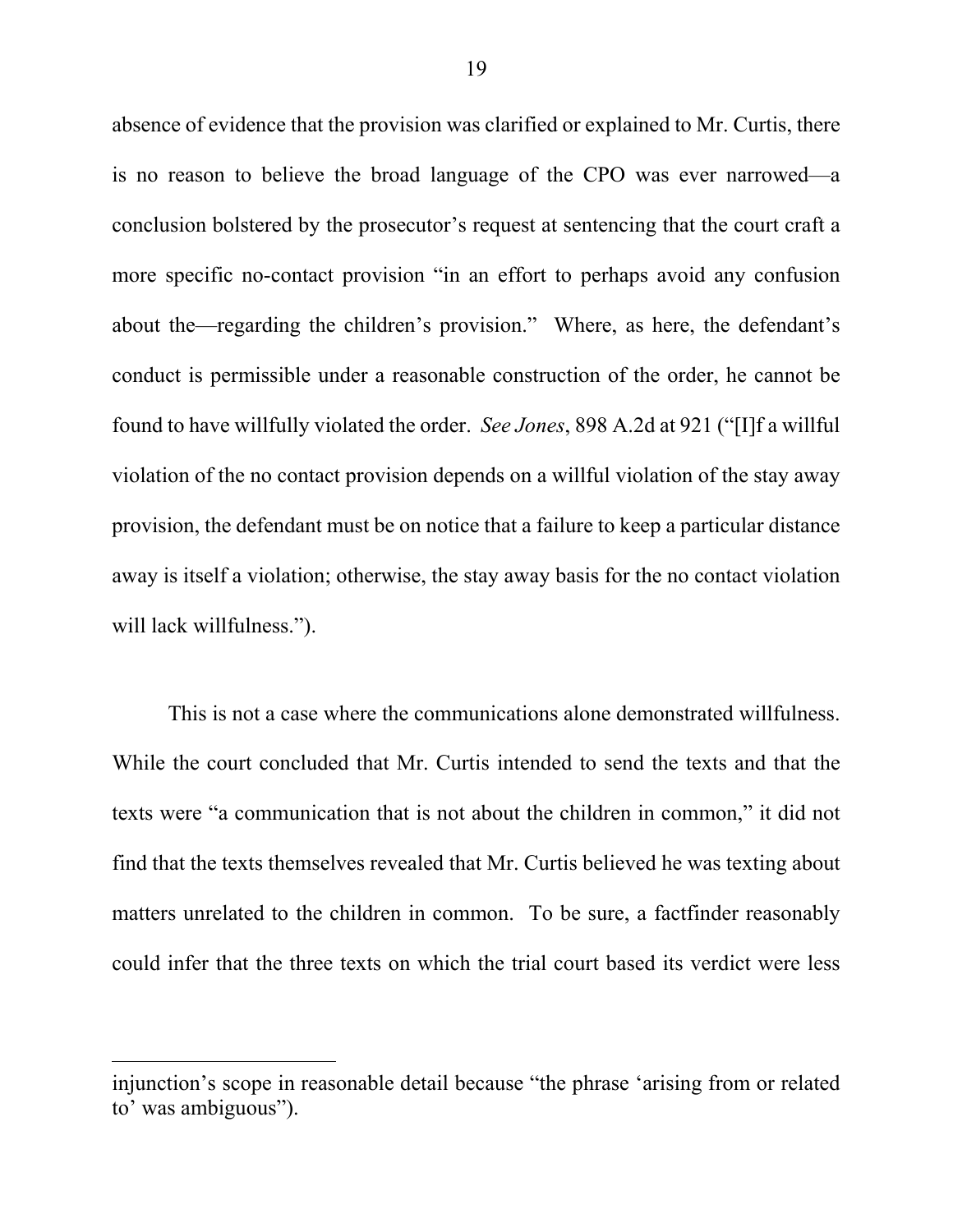absence of evidence that the provision was clarified or explained to Mr. Curtis, there is no reason to believe the broad language of the CPO was ever narrowed—a conclusion bolstered by the prosecutor's request at sentencing that the court craft a more specific no-contact provision "in an effort to perhaps avoid any confusion about the—regarding the children's provision."Where, as here, the defendant's conduct is permissible under a reasonable construction of the order, he cannot be found to have willfully violated the order. *See Jones*, 898 A.2d at 921 ("[I]f a willful violation of the no contact provision depends on a willful violation of the stay away provision, the defendant must be on notice that a failure to keep a particular distance away is itself a violation; otherwise, the stay away basis for the no contact violation will lack willfulness.").

This is not a case where the communications alone demonstrated willfulness. While the court concluded that Mr. Curtis intended to send the texts and that the texts were "a communication that is not about the children in common," it did not find that the texts themselves revealed that Mr. Curtis believed he was texting about matters unrelated to the children in common. To be sure, a factfinder reasonably could infer that the three texts on which the trial court based its verdict were less

injunction's scope in reasonable detail because "the phrase 'arising from or related to' was ambiguous").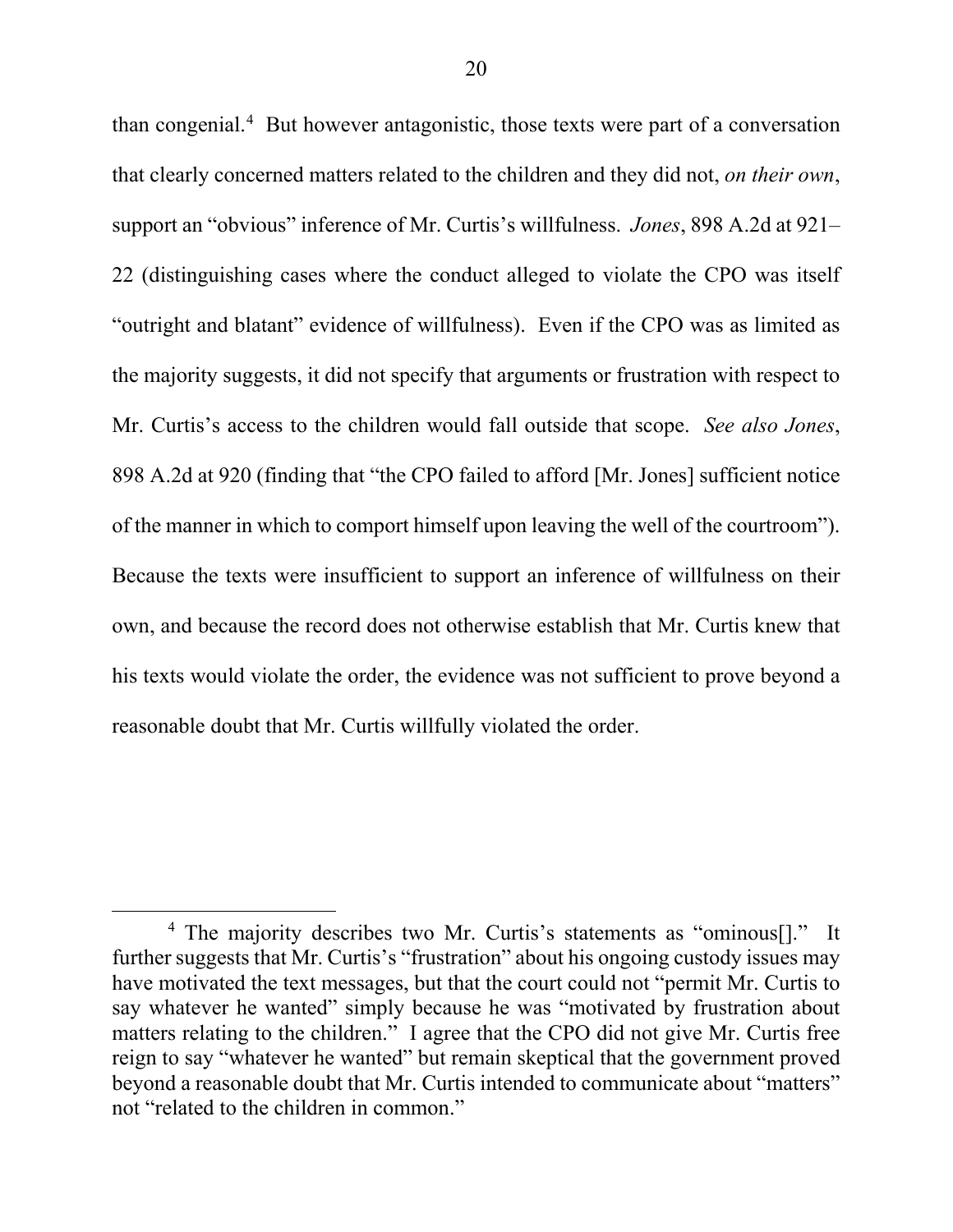than congenial.<sup>4</sup> But however antagonistic, those texts were part of a conversation that clearly concerned matters related to the children and they did not, *on their own*, support an "obvious" inference of Mr. Curtis's willfulness. *Jones*, 898 A.2d at 921– 22 (distinguishing cases where the conduct alleged to violate the CPO was itself "outright and blatant" evidence of willfulness). Even if the CPO was as limited as the majority suggests, it did not specify that arguments or frustration with respect to Mr. Curtis's access to the children would fall outside that scope. *See also Jones*, 898 A.2d at 920 (finding that "the CPO failed to afford [Mr. Jones] sufficient notice of the manner in which to comport himself upon leaving the well of the courtroom"). Because the texts were insufficient to support an inference of willfulness on their own, and because the record does not otherwise establish that Mr. Curtis knew that his texts would violate the order, the evidence was not sufficient to prove beyond a reasonable doubt that Mr. Curtis willfully violated the order.

 $\overline{\phantom{a}}$ 

<sup>4</sup> The majority describes two Mr. Curtis's statements as "ominous[]." It further suggests that Mr. Curtis's "frustration" about his ongoing custody issues may have motivated the text messages, but that the court could not "permit Mr. Curtis to say whatever he wanted" simply because he was "motivated by frustration about matters relating to the children." I agree that the CPO did not give Mr. Curtis free reign to say "whatever he wanted" but remain skeptical that the government proved beyond a reasonable doubt that Mr. Curtis intended to communicate about "matters" not "related to the children in common."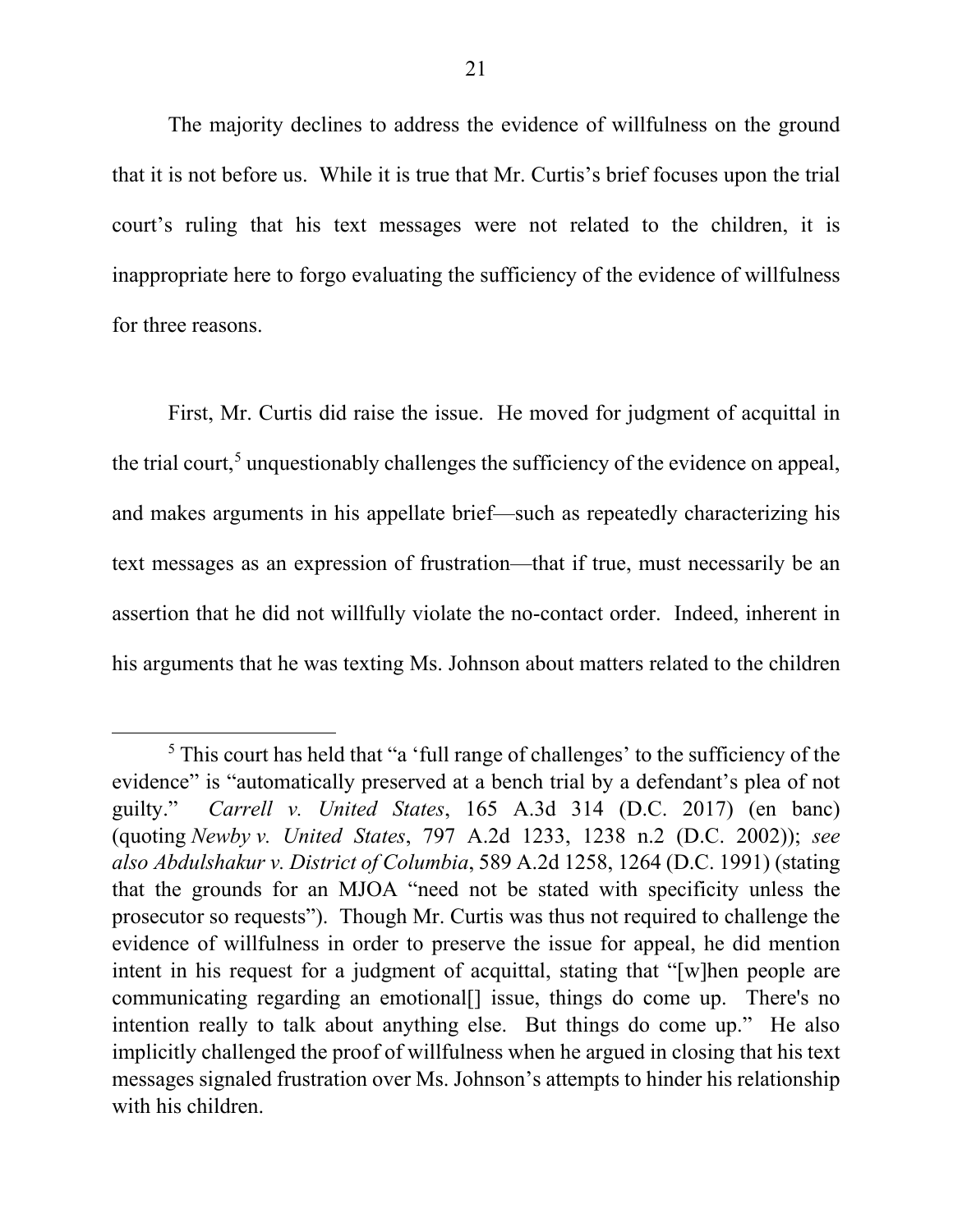The majority declines to address the evidence of willfulness on the ground that it is not before us. While it is true that Mr. Curtis's brief focuses upon the trial court's ruling that his text messages were not related to the children, it is inappropriate here to forgo evaluating the sufficiency of the evidence of willfulness for three reasons.

First, Mr. Curtis did raise the issue. He moved for judgment of acquittal in the trial court,<sup>5</sup> unquestionably challenges the sufficiency of the evidence on appeal, and makes arguments in his appellate brief—such as repeatedly characterizing his text messages as an expression of frustration—that if true, must necessarily be an assertion that he did not willfully violate the no-contact order. Indeed, inherent in his arguments that he was texting Ms. Johnson about matters related to the children

<sup>&</sup>lt;sup>5</sup> This court has held that "a 'full range of challenges' to the sufficiency of the evidence" is "automatically preserved at a bench trial by a defendant's plea of not guilty." *Carrell v. United States*, 165 A.3d 314 (D.C. 2017) (en banc) (quoting *Newby v. United States*, 797 A.2d 1233, 1238 n.2 (D.C. 2002)); *see also Abdulshakur v. District of Columbia*, 589 A.2d 1258, 1264 (D.C. 1991) (stating that the grounds for an MJOA "need not be stated with specificity unless the prosecutor so requests"). Though Mr. Curtis was thus not required to challenge the evidence of willfulness in order to preserve the issue for appeal, he did mention intent in his request for a judgment of acquittal, stating that "[w]hen people are communicating regarding an emotional[] issue, things do come up. There's no intention really to talk about anything else. But things do come up." He also implicitly challenged the proof of willfulness when he argued in closing that his text messages signaled frustration over Ms. Johnson's attempts to hinder his relationship with his children.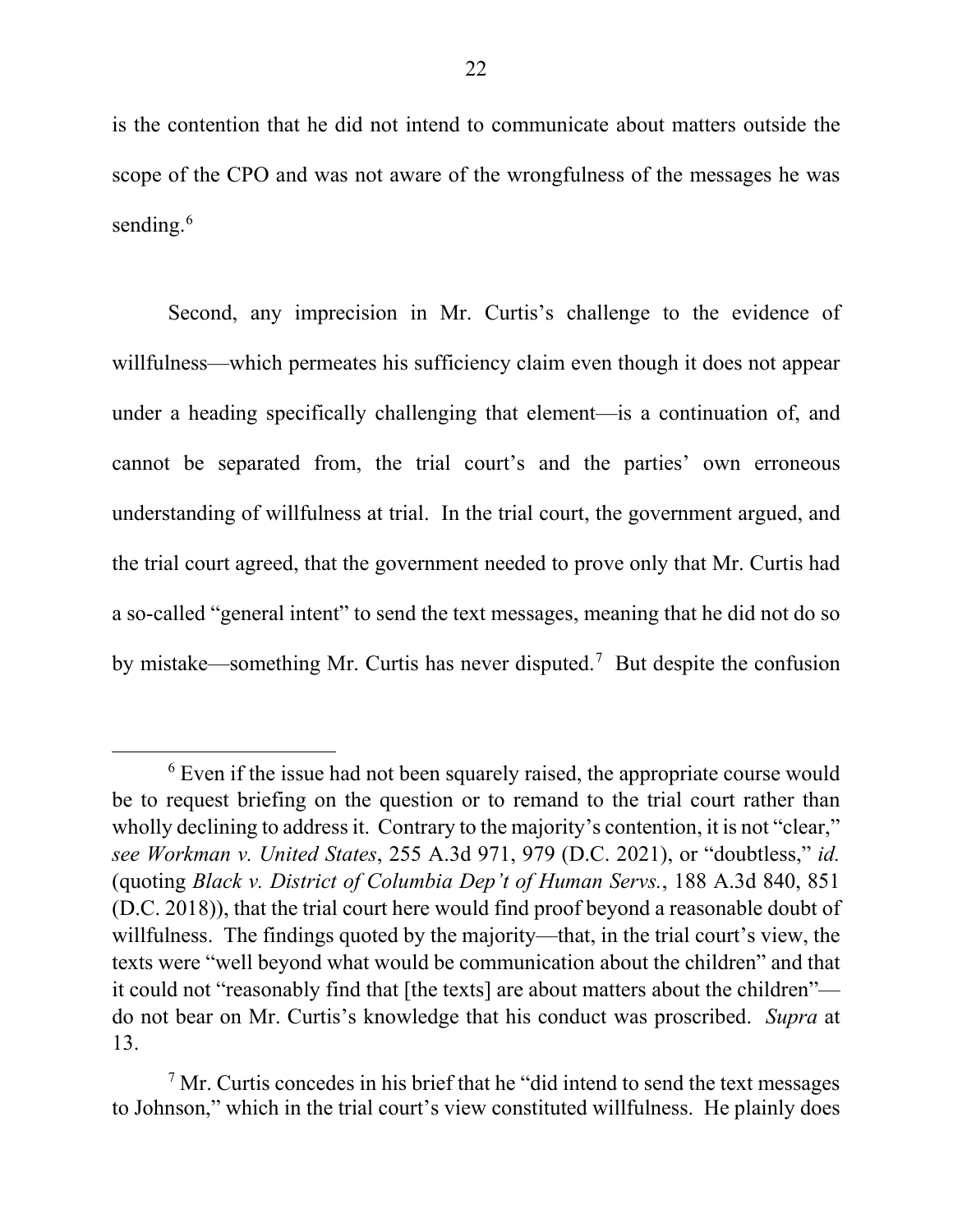is the contention that he did not intend to communicate about matters outside the scope of the CPO and was not aware of the wrongfulness of the messages he was sending.<sup>6</sup>

Second, any imprecision in Mr. Curtis's challenge to the evidence of willfulness—which permeates his sufficiency claim even though it does not appear under a heading specifically challenging that element—is a continuation of, and cannot be separated from, the trial court's and the parties' own erroneous understanding of willfulness at trial. In the trial court, the government argued, and the trial court agreed, that the government needed to prove only that Mr. Curtis had a so-called "general intent" to send the text messages, meaning that he did not do so by mistake—something Mr. Curtis has never disputed.<sup>7</sup> But despite the confusion

 $6$  Even if the issue had not been squarely raised, the appropriate course would be to request briefing on the question or to remand to the trial court rather than wholly declining to address it. Contrary to the majority's contention, it is not "clear," *see Workman v. United States*, 255 A.3d 971, 979 (D.C. 2021), or "doubtless," *id.* (quoting *Black v. District of Columbia Dep't of Human Servs.*, 188 A.3d 840, 851 (D.C. 2018)), that the trial court here would find proof beyond a reasonable doubt of willfulness. The findings quoted by the majority—that, in the trial court's view, the texts were "well beyond what would be communication about the children" and that it could not "reasonably find that [the texts] are about matters about the children" do not bear on Mr. Curtis's knowledge that his conduct was proscribed. *Supra* at 13.

 $<sup>7</sup>$  Mr. Curtis concedes in his brief that he "did intend to send the text messages</sup> to Johnson," which in the trial court's view constituted willfulness. He plainly does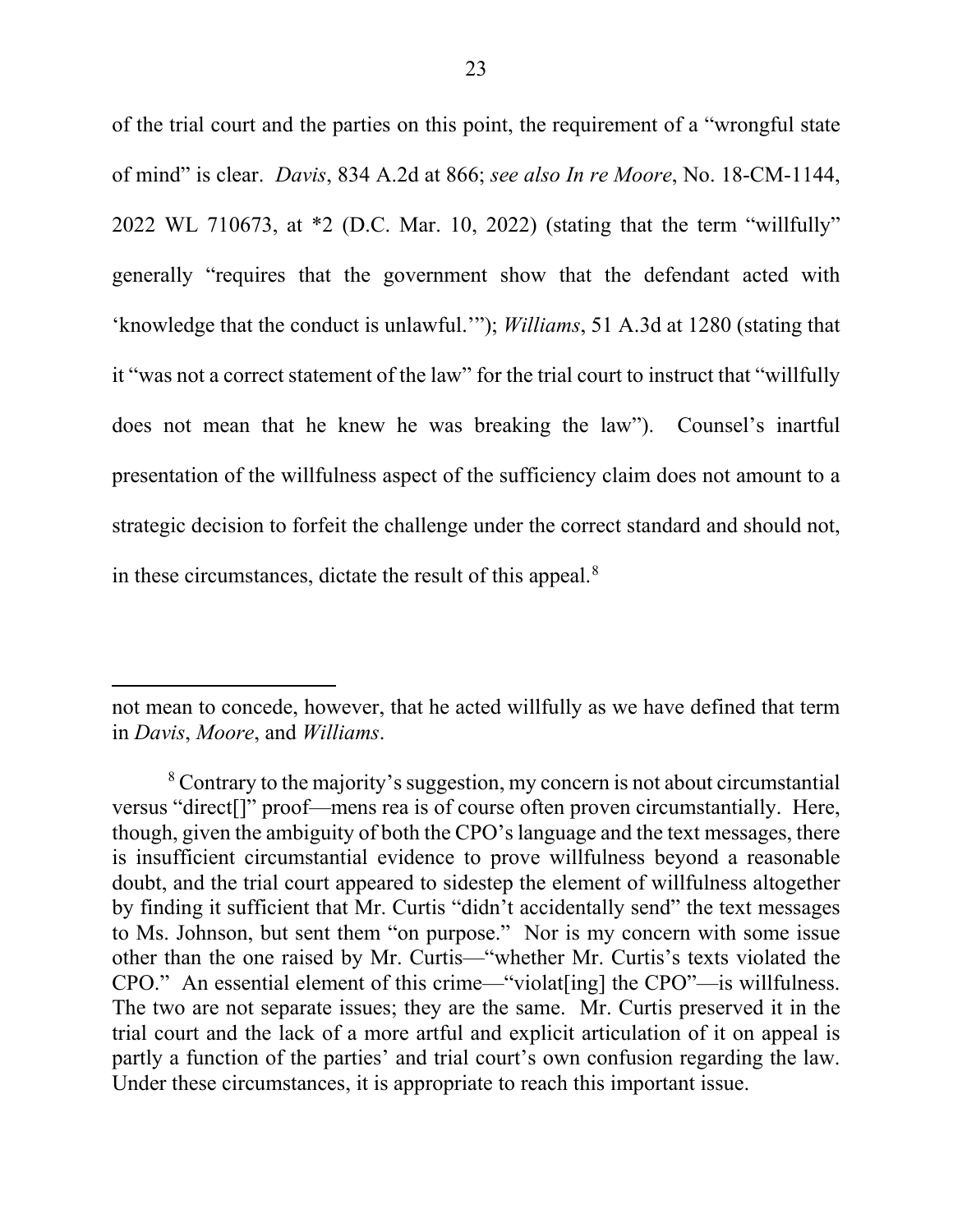of the trial court and the parties on this point, the requirement of a "wrongful state of mind" is clear. *Davis*, 834 A.2d at 866; *see also In re Moore*, No. 18-CM-1144, 2022 WL 710673, at \*2 (D.C. Mar. 10, 2022) (stating that the term "willfully" generally "requires that the government show that the defendant acted with 'knowledge that the conduct is unlawful.'"); *Williams*, 51 A.3d at 1280 (stating that it "was not a correct statement of the law" for the trial court to instruct that "willfully does not mean that he knew he was breaking the law"). Counsel's inartful presentation of the willfulness aspect of the sufficiency claim does not amount to a strategic decision to forfeit the challenge under the correct standard and should not, in these circumstances, dictate the result of this appeal. $8$ 

not mean to concede, however, that he acted willfully as we have defined that term in *Davis*, *Moore*, and *Williams*.

<sup>&</sup>lt;sup>8</sup> Contrary to the majority's suggestion, my concern is not about circumstantial versus "direct[]" proof—mens rea is of course often proven circumstantially. Here, though, given the ambiguity of both the CPO's language and the text messages, there is insufficient circumstantial evidence to prove willfulness beyond a reasonable doubt, and the trial court appeared to sidestep the element of willfulness altogether by finding it sufficient that Mr. Curtis "didn't accidentally send" the text messages to Ms. Johnson, but sent them "on purpose."Nor is my concern with some issue other than the one raised by Mr. Curtis—"whether Mr. Curtis's texts violated the CPO." An essential element of this crime—"violat[ing] the CPO"—is willfulness. The two are not separate issues; they are the same. Mr. Curtis preserved it in the trial court and the lack of a more artful and explicit articulation of it on appeal is partly a function of the parties' and trial court's own confusion regarding the law. Under these circumstances, it is appropriate to reach this important issue.